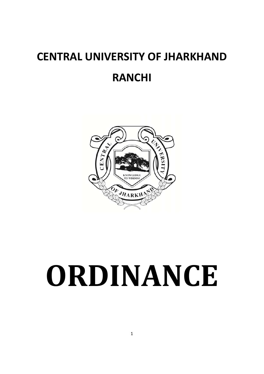## **CENTRAL UNIVERSITY OF JHARKHAND RANCHI**



# **ORDINANCE**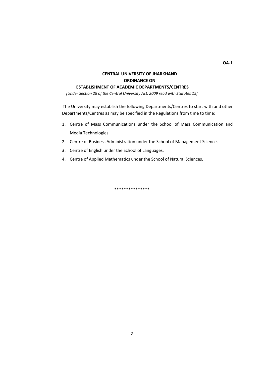#### **CENTRAL UNIVERSITY OF JHARKHAND ORDINANCE ON**

#### **ESTABLISHMENT OF ACADEMIC DEPARTMENTS/CENTRES**

*[Under Section 28 of the Central University Act, 2009 read with Statutes 15]*

The University may establish the following Departments/Centres to start with and other Departments/Centres as may be specified in the Regulations from time to time:

- 1. Centre of Mass Communications under the School of Mass Communication and Media Technologies.
- 2. Centre of Business Administration under the School of Management Science.
- 3. Centre of English under the School of Languages.
- 4. Centre of Applied Mathematics under the School of Natural Sciences.

\*\*\*\*\*\*\*\*\*\*\*\*\*\*\*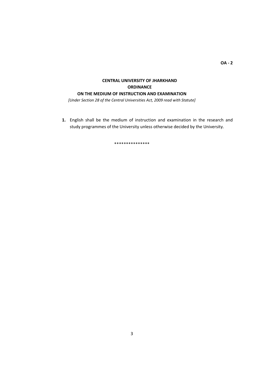#### **CENTRAL UNIVERSITY OF JHARKHAND ORDINANCE ON THE MEDIUM OF INSTRUCTION AND EXAMINATION**

*[Under Section 28 of the Central Universities Act, 2009 read with Statute]*

**1.** English shall be the medium of instruction and examination in the research and study programmes of the University unless otherwise decided by the University.

\*\*\*\*\*\*\*\*\*\*\*\*\*\*\*

**OA ‐ 2**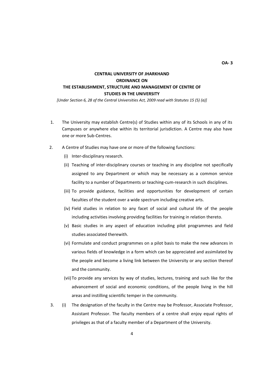#### **CENTRAL UNIVERSITY OF JHARKHAND ORDINANCE ON THE ESTABLISHMENT, STRUCTURE AND MANAGEMENT OF CENTRE OF STUDIES IN THE UNIVERSITY**

*[Under Section 6, 28 of the Central Universities Act, 2009 read with Statutes 15 (5) (a)]*

- 1. The University may establish Centre(s) of Studies within any of its Schools in any of its Campuses or anywhere else within its territorial jurisdiction. A Centre may also have one or more Sub‐Centres.
- 2. A Centre of Studies may have one or more of the following functions:
	- (i) Inter‐disciplinary research.
	- (ii) Teaching of inter‐disciplinary courses or teaching in any discipline not specifically assigned to any Department or which may be necessary as a common service facility to a number of Departments or teaching-cum-research in such disciplines.
	- (iii) To provide guidance, facilities and opportunities for development of certain faculties of the student over a wide spectrum including creative arts.
	- (iv) Field studies in relation to any facet of social and cultural life of the people including activities involving providing facilities for training in relation thereto.
	- (v) Basic studies in any aspect of education including pilot programmes and field studies associated therewith.
	- (vi) Formulate and conduct programmes on a pilot basis to make the new advances in various fields of knowledge in a form which can be appreciated and assimilated by the people and become a living link between the University or any section thereof and the community.
	- (vii) To provide any services by way of studies, lectures, training and such like for the advancement of social and economic conditions, of the people living in the hill areas and instilling scientific temper in the community.
- 3. (i) The designation of the faculty in the Centre may be Professor, Associate Professor, Assistant Professor. The faculty members of a centre shall enjoy equal rights of privileges as that of a faculty member of a Department of the University.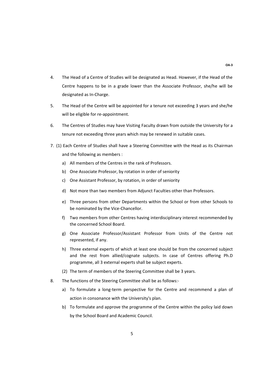- 4. The Head of a Centre of Studies will be designated as Head. However, if the Head of the Centre happens to be in a grade lower than the Associate Professor, she/he will be designated as In‐Charge.
- 5. The Head of the Centre will be appointed for a tenure not exceeding 3 years and she/he will be eligible for re-appointment.
- 6. The Centres of Studies may have Visiting Faculty drawn from outside the University for a tenure not exceeding three years which may be renewed in suitable cases.
- 7. (1) Each Centre of Studies shall have a Steering Committee with the Head as its Chairman and the following as members :
	- a) All members of the Centres in the rank of Professors.
	- b) One Associate Professor, by rotation in order of seniority
	- c) One Assistant Professor, by rotation, in order of seniority
	- d) Not more than two members from Adjunct Faculties other than Professors.
	- e) Three persons from other Departments within the School or from other Schools to be nominated by the Vice-Chancellor.
	- f) Two members from other Centres having interdisciplinary interest recommended by the concerned School Board.
	- g) One Associate Professor/Assistant Professor from Units of the Centre not represented, if any.
	- h) Three external experts of which at least one should be from the concerned subject and the rest from allied/cognate subjects. In case of Centres offering Ph.D programme, all 3 external experts shall be subject experts.
	- (2) The term of members of the Steering Committee shall be 3 years.
- 8. The functions of the Steering Committee shall be as follows:
	- a) To formulate a long-term perspective for the Centre and recommend a plan of action in consonance with the University's plan.
	- b) To formulate and approve the programme of the Centre within the policy laid down by the School Board and Academic Council.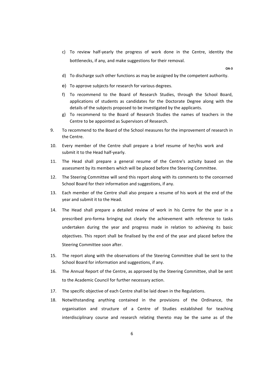c) To review half‐yearly the progress of work done in the Centre, identity the bottlenecks, if any, and make suggestions for their removal.

**OA‐3**

- d) To discharge such other functions as may be assigned by the competent authority.
- e) To approve subjects for research for various degrees.
- f) To recommend to the Board of Research Studies, through the School Board, applications of students as candidates for the Doctorate Degree along with the details of the subjects proposed to be investigated by the applicants.
- g) To recommend to the Board of Research Studies the names of teachers in the Centre to be appointed as Supervisors of Research.
- 9. To recommend to the Board of the School measures for the improvement of research in the Centre.
- 10. Every member of the Centre shall prepare a brief resume of her/his work and submit it to the Head half‐yearly.
- 11. The Head shall prepare a general resume of the Centre's activity based on the assessment by its members which will be placed before the Steering Committee.
- 12. The Steering Committee will send this report along with its comments to the concerned School Board for their information and suggestions, if any.
- 13. Each member of the Centre shall also prepare a resume of his work at the end of the year and submit it to the Head.
- 14. The Head shall prepare a detailed review of work in his Centre for the year in a prescribed pro‐forma bringing out clearly the achievement with reference to tasks undertaken during the year and progress made in relation to achieving its basic objectives. This report shall be finalised by the end of the year and placed before the Steering Committee soon after.
- 15. The report along with the observations of the Steering Committee shall be sent to the School Board for information and suggestions, if any.
- 16. The Annual Report of the Centre, as approved by the Steering Committee, shall be sent to the Academic Council for further necessary action.
- 17. The specific objective of each Centre shall be laid down in the Regulations.
- 18. Notwithstanding anything contained in the provisions of the Ordinance, the organisation and structure of a Centre of Studies established for teaching interdisciplinary course and research relating thereto may be the same as of the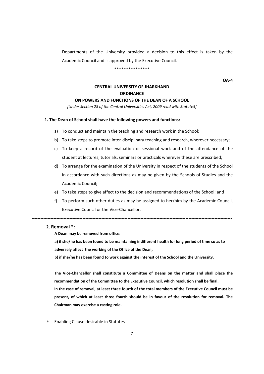Departments of the University provided a decision to this effect is taken by the Academic Council and is approved by the Executive Council.

#### \*\*\*\*\*\*\*\*\*\*\*\*\*\*\*

**OA‐4**

#### **CENTRAL UNIVERSITY OF JHARKHAND ORDINANCE**

#### **ON POWERS AND FUNCTIONS OF THE DEAN OF A SCHOOL**

*[Under Section 28 of the Central Universities Act, 2009 read with Statute5]*

#### **1. The Dean of School shall have the following powers and functions:**

- a) To conduct and maintain the teaching and research work in the School;
- b) To take steps to promote inter-disciplinary teaching and research, wherever necessary;
- c) To keep a record of the evaluation of sessional work and of the attendance of the student at lectures, tutorials, seminars or practicals wherever these are prescribed;
- d) To arrange for the examination of the University in respect of the students of the School in accordance with such directions as may be given by the Schools of Studies and the Academic Council;
- e) To take steps to give affect to the decision and recommendations of the School; and
- f) To perform such other duties as may be assigned to her/him by the Academic Council, Executive Council or the Vice‐Chancellor.

**‐‐‐‐‐‐‐‐‐‐‐‐‐‐‐‐‐‐‐‐‐‐‐‐‐‐‐‐‐‐‐‐‐‐‐‐‐‐‐‐‐‐‐‐‐‐‐‐‐‐‐‐‐‐‐‐‐‐‐‐‐‐‐‐‐‐‐‐‐‐‐‐‐‐‐‐‐‐‐‐‐‐‐‐‐‐‐‐‐‐‐‐‐‐‐‐‐‐‐‐‐‐‐‐‐‐‐‐‐‐‐‐‐‐‐‐‐‐‐‐‐‐‐‐‐‐‐‐‐‐‐‐‐‐‐‐‐‐** 

#### **2. Removal \*:**

**A Dean may be removed from office:**

a) if she/he has been found to be maintaining indifferent health for long period of time so as to **adversely affect the working of the Office of the Dean,**

**b) if she/he has been found to work against the interest of the School and the University.**

**The Vice‐Chancellor shall constitute a Committee of Deans on the matter and shall place the recommendation of the Committee to the Executive Council, which resolution shall be final.** 

In the case of removal, at least three fourth of the total members of the Executive Council must be **present, of which at least three fourth should be in favour of the resolution for removal. The Chairman may exercise a casting role.** 

Enabling Clause desirable in Statutes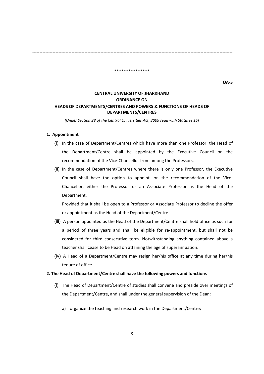**‐‐‐‐‐‐‐‐‐‐‐‐‐‐‐‐‐‐‐‐‐‐‐‐‐‐‐‐‐‐‐‐‐‐‐‐‐‐‐‐‐‐‐‐‐‐‐‐‐‐‐‐‐‐‐‐‐‐‐‐‐‐‐‐‐‐‐‐‐‐‐‐‐‐‐‐‐‐‐‐‐‐‐‐‐‐‐‐‐‐‐‐‐‐‐‐‐‐‐‐‐‐‐‐‐‐‐‐‐‐‐‐‐‐‐‐‐‐‐‐‐‐‐‐‐‐‐‐‐‐‐‐‐‐‐‐‐‐** 

\*\*\*\*\*\*\*\*\*\*\*\*\*\*\*

**OA‐5**

#### **CENTRAL UNIVERSITY OF JHARKHAND ORDINANCE ON HEADS OF DEPARTMENTS/CENTRES AND POWERS & FUNCTIONS OF HEADS OF DEPARTMENTS/CENTRES**

*[Under Section 28 of the Central Universities Act, 2009 read with Statutes 15]*

#### **1. Appointment**

- (i) In the case of Department/Centres which have more than one Professor, the Head of the Department/Centre shall be appointed by the Executive Council on the recommendation of the Vice‐Chancellor from among the Professors.
- (ii) In the case of Department/Centres where there is only one Professor, the Executive Council shall have the option to appoint, on the recommendation of the Vice‐ Chancellor, either the Professor or an Associate Professor as the Head of the Department.

Provided that it shall be open to a Professor or Associate Professor to decline the offer or appointment as the Head of the Department/Centre.

- (iii) A person appointed as the Head of the Department/Centre shall hold office as such for a period of three years and shall be eligible for re‐appointment, but shall not be considered for third consecutive term. Notwithstanding anything contained above a teacher shall cease to be Head on attaining the age of superannuation.
- (iv) A Head of a Department/Centre may resign her/his office at any time during her/his tenure of office.

#### **2. The Head of Department/Centre shall have the following powers and functions**

- (i) The Head of Department/Centre of studies shall convene and preside over meetings of the Department/Centre, and shall under the general supervision of the Dean:
	- a) organize the teaching and research work in the Department/Centre;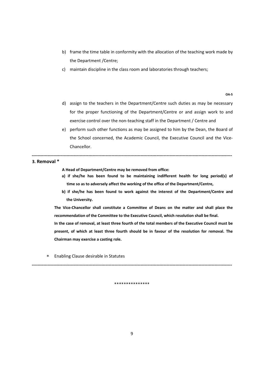- b) frame the time table in conformity with the allocation of the teaching work made by the Department /Centre;
- c) maintain discipline in the class room and laboratories through teachers;

**OA‐5**

- d) assign to the teachers in the Department/Centre such duties as may be necessary for the proper functioning of the Department/Centre or and assign work to and exercise control over the non-teaching staff in the Department / Centre and
- e) perform such other functions as may be assigned to him by the Dean, the Board of the School concerned, the Academic Council, the Executive Council and the Vice-Chancellor.

**‐‐‐‐‐‐‐‐‐‐‐‐‐‐‐‐‐‐‐‐‐‐‐‐‐‐‐‐‐‐‐‐‐‐‐‐‐‐‐‐‐‐‐‐‐‐‐‐‐‐‐‐‐‐‐‐‐‐‐‐‐‐‐‐‐‐‐‐‐‐‐‐‐‐‐‐‐‐‐‐‐‐‐‐‐‐‐‐‐‐‐‐‐‐‐‐‐‐‐‐‐‐‐‐‐‐‐‐‐‐‐‐‐‐‐‐‐‐‐‐‐‐‐‐‐‐‐‐‐‐‐‐‐‐‐‐‐‐** 

**3. Removal \***

**A Head of Department/Centre may be removed from office:**

- **a) if she/he has been found to be maintaining indifferent health for long period(s) of time so as to adversely affect the working of the office of the Department/Centre,**
- **b) if she/he has been found to work against the interest of the Department/Centre and the University.**

**The Vice‐Chancellor shall constitute a Committee of Deans on the matter and shall place the recommendation of the Committee to the Executive Council, which resolution shall be final.**

In the case of removal, at least three fourth of the total members of the Executive Council must be **present, of which at least three fourth should be in favour of the resolution for removal. The Chairman may exercise a casting role.** 

Enabling Clause desirable in Statutes

\*\*\*\*\*\*\*\*\*\*\*\*\*\*\*

**‐‐‐‐‐‐‐‐‐‐‐‐‐‐‐‐‐‐‐‐‐‐‐‐‐‐‐‐‐‐‐‐‐‐‐‐‐‐‐‐‐‐‐‐‐‐‐‐‐‐‐‐‐‐‐‐‐‐‐‐‐‐‐‐‐‐‐‐‐‐‐‐‐‐‐‐‐‐‐‐‐‐‐‐‐‐‐‐‐‐‐‐‐‐‐‐‐‐‐‐‐‐‐‐‐‐‐‐‐‐‐‐‐‐‐‐‐‐‐‐‐‐‐‐‐‐‐‐‐‐‐‐‐‐‐‐‐‐**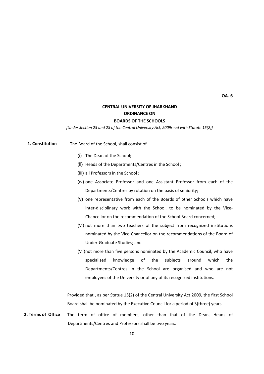#### **CENTRAL UNIVERSITY OF JHARKHAND ORDINANCE ON**

#### **BOARDS OF THE SCHOOLS**

*[Under Section 23 and 28 of the Central University Act, 2009read with Statute 15(2)]*

The Board of the School, shall consist of **1. Constitution** 

- (i) The Dean of the School;
- (ii) Heads of the Departments/Centres in the School ;
- (iii) all Professors in the School ;
- (iv) one Associate Professor and one Assistant Professor from each of the Departments/Centres by rotation on the basis of seniority;
- (v) one representative from each of the Boards of other Schools which have inter-disciplinary work with the School, to be nominated by the Vice-Chancellor on the recommendation of the School Board concerned;
- (vi) not more than two teachers of the subject from recognized institutions nominated by the Vice‐Chancellor on the recommendations of the Board of Under‐Graduate Studies; and
- (vii) not more than five persons nominated by the Academic Council, who have specialized knowledge of the subjects around which the Departments/Centres in the School are organised and who are not employees of the University or of any of its recognized institutions.

Provided that , as per Statue 15(2) of the Central University Act 2009, the first School Board shall be nominated by the Executive Council for a period of 3(three) years.

The term of office of members, other than that of the Dean, Heads of Departments/Centres and Professors shall be two years. **2. Terms of Office**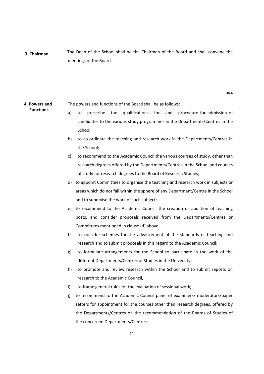The Dean of the School shall be the Chairman of the Board and shall convene the meetings of the Board. **3. Chairman** 

**OA‐6**

#### The powers and functions of the Board shall be as follows: **4. Powers and Functions**

- a) to prescribe the qualifications for and procedure-for-admission-of candidates to the various study programmes in the Departments/Centres in the School;
- b) to co-ordinate the teaching and research work in the Departments/Centres in the School;
- c) to recommend to the Academic Council the various courses of study, other than research degrees offered by the Departments/Centres in the School and courses of study for research degrees to the Board of Research Studies;
- d) to appoint Committees to organise the teaching and research work in subjects or areas which do not fall within the sphere of any Department/Centre in the School and to supervise the work of such subject;
- e) to recommend to the Academic Council the creation or abolition of teaching posts, and consider proposals received from the Departments/Centres or Committees mentioned in clause (d) above;
- f) to consider schemes for the advancement of the standards of teaching and research and to submit proposals in this regard to the Academic Council;
- g) to formulate arrangements for the School to participate in the work of the different Departments/Centres of Studies in the University ;
- h) to promote and review research within the School and to submit reports on research to the Academic Council,
- i) to frame general rules for the evaluation of sessional work;
- j) to recommend to the Academic Council panel of examiners/ moderators/paper setters for appointment for the courses other than research degrees, offered by the Departments/Centres on the recommendation of the Boards of Studies of the concerned Departments/Centres;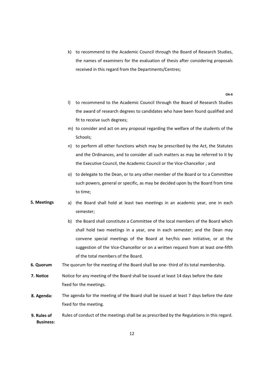k) to recommend to the Academic Council through the Board of Research Studies, the names of examiners for the evaluation of thesis after considering proposals received in this regard from the Departments/Centres;

**OA‐6**

- l) to recommend to the Academic Council through the Board of Research Studies the award of research degrees to candidates who have been found qualified and fit to receive such degrees;
- m) to consider and act on any proposal regarding the welfare of the students of the Schools;
- n) to perform all other functions which may be prescribed by the Act, the Statutes and the Ordinances, and to consider all such matters as may be referred to it by the Executive Council, the Academic Council or the Vice‐Chancellor ; and
- o) to delegate to the Dean, or to any other member of the Board or to a Committee such powers, general or specific, as may be decided upon by the Board from time to time;
- a) the Board shall hold at least two meetings in an academic year, one in each semester; **5. Meetings** 
	- b) the Board shall constitute a Committee of the local members of the Board which shall hold two meetings in a year, one in each semester; and the Dean may convene special meetings of the Board at her/his own initiative, or at the suggestion of the Vice-Chancellor or on a written request from at least one-fifth of the total members of the Board.
- The quorum for the meeting of the Board shall be one-third of its total membership. **6. Quorum**
- Notice for any meeting of the Board shall be issued at least 14 days before the date fixed for the meetings. **7. Notice**
- The agenda for the meeting of the Board shall be issued at least 7 days before the date fixed for the meeting. **8. Agenda:**
- Rules of conduct of the meetings shall be as prescribed by the Regulations in this regard. **9. Rules of Business:**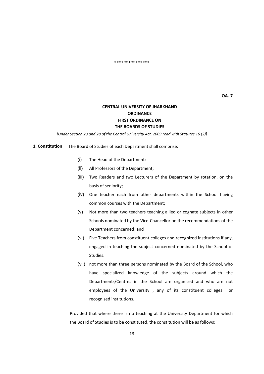#### \*\*\*\*\*\*\*\*\*\*\*\*\*\*\*

#### **CENTRAL UNIVERSITY OF JHARKHAND ORDINANCE FIRST ORDINANCE ON THE BOARDS OF STUDIES**

*[Under Section 23 and 28 of the Central University Act. 2009 read with Statutes 16 (2)]*

 The Board of Studies of each Department shall comprise: **1. Constitution**

- (i) The Head of the Department;
- (ii) All Professors of the Department;
- (iii) Two Readers and two Lecturers of the Department by rotation, on the basis of seniority;
- (iv) One teacher each from other departments within the School having common courses with the Department;
- (v) Not more than two teachers teaching allied or cognate subjects in other Schools nominated by the Vice‐Chancellor on the recommendations of the Department concerned; and
- (vi) Five Teachers from constituent colleges and recognized institutions if any, engaged in teaching the subject concerned nominated by the School of Studies.
- (vii) not more than three persons nominated by the Board of the School, who have specialized knowledge of the subjects around which the Departments/Centres in the School are organised and who are not employees of the University , any of its constituent colleges or recognised institutions.

Provided that where there is no teaching at the University Department for which the Board of Studies is to be constituted, the constitution will be as follows: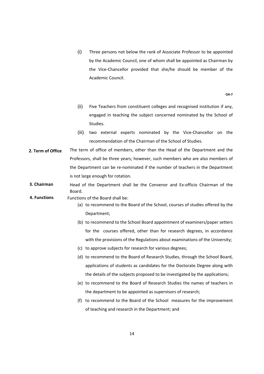(i) Three persons not below the rank of Associate Professor to be appointed by the Academic Council, one of whom shall be appointed as Chairman by the Vice‐Chancellor provided that she/he should be member of the Academic Council.

**OA‐7**

- (ii) Five Teachers from constituent colleges and recognised institution if any, engaged in teaching the subject concerned nominated by the School of Studies.
- (iii) two external experts nominated by the Vice‐Chancellor on the recommendation of the Chairman of the School of Studies.
- The term of office of members, other than the Head of the Department and the Professors, shall be three years; however, such members who are also members of the Department can be re‐nominated if the number of teachers in the Department is not large enough for rotation. **2. Term of Office**
- Head of the Department shall be the Convenor and Ex‐officio Chairman of the Board. **3. Chairman**
- Functions of the Board shall be: **4. Functions**
	- (a) to recommend to the Board of the School, courses of studies offered by the Department;
	- (b) to recommend to the School Board appointment of examiners/paper setters for the courses offered, other than for research degrees, in accordance with the provisions of the Regulations about examinations of the University;
	- (c) to approve subjects for research for various degrees;
	- (d) to recommend to the Board of Research Studies, through the School Board, applications of students as candidates for the Doctorate Degree along with the details of the subjects proposed to be investigated by the applications;
	- (e) to recommend to the Board of Research Studies the names of teachers in the department to be appointed as supervisors of research;
	- (f) to recommend to the Board of the School measures for the improvement of teaching and research in the Department; and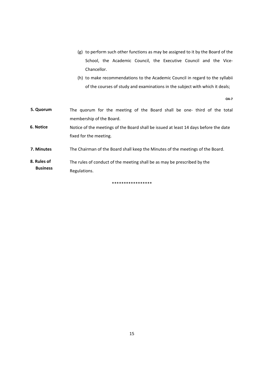- (g) to perform such other functions as may be assigned to it by the Board of the School, the Academic Council, the Executive Council and the Vice-Chancellor.
- (h) to make recommendations to the Academic Council in regard to the syllabii of the courses of study and examinations in the subject with which it deals;

**OA‐7**

- The quorum for the meeting of the Board shall be one- third of the total membership of the Board. **5. Quorum**
- Notice of the meetings of the Board shall be issued at least 14 days before the date fixed for the meeting. **6. Notice**
- The Chairman of the Board shall keep the Minutes of the meetings of the Board. **7. Minutes**
- The rules of conduct of the meeting shall be as may be prescribed by the Regulations. **8. Rules of Business**

\*\*\*\*\*\*\*\*\*\*\*\*\*\*\*\*\*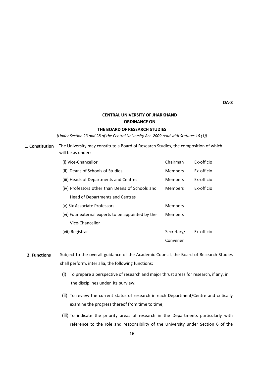**OA‐8**

#### **CENTRAL UNIVERSITY OF JHARKHAND ORDINANCE ON**

#### **THE BOARD OF RESEARCH STUDIES**

*[Under Section 23 and 28 of the Central University Act. 2009 read with Statutes 16 (1)]*

#### **1. Constitution** The University may constitute a Board of Research Studies, the composition of which will be as under:

| (i) Vice-Chancellor                               | Chairman       | Ex-officio |
|---------------------------------------------------|----------------|------------|
| (ii) Deans of Schools of Studies                  | <b>Members</b> | Ex-officio |
| (iii) Heads of Departments and Centres            | <b>Members</b> | Ex-officio |
| (iv) Professors other than Deans of Schools and   | Members        | Ex-officio |
| Head of Departments and Centres                   |                |            |
| (v) Six Associate Professors                      | Members        |            |
| (vi) Four external experts to be appointed by the | Members        |            |
| Vice-Chancellor                                   |                |            |
| (vii) Registrar                                   | Secretary/     | Ex-officio |
|                                                   | Convener       |            |

- Subject to the overall guidance of the Academic Council, the Board of Research Studies shall perform, inter alia, the following functions: **2. Functions**
	- (i) To prepare a perspective of research and major thrust areas for research, if any, in the disciplines under its purview;
	- (ii) To review the current status of research in each Department/Centre and critically examine the progress thereof from time to time;
	- (iii) To indicate the priority areas of research in the Departments particularly with reference to the role and responsibility of the University under Section 6 of the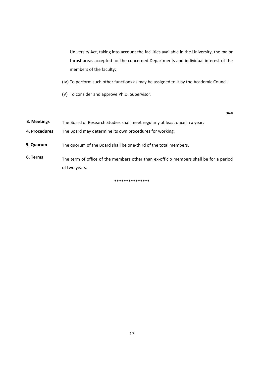University Act, taking into account the facilities available in the University, the major thrust areas accepted for the concerned Departments and individual interest of the members of the faculty;

- (iv) To perform such other functions as may be assigned to it by the Academic Council.
- (v) To consider and approve Ph.D. Supervisor.

**OA‐8**

- The Board of Research Studies shall meet regularly at least once in a year. **3. Meetings**
- The Board may determine its own procedures for working. **4. Procedures**
- The quorum of the Board shall be one‐third of the total members. **5. Quorum**
- The term of office of the members other than ex-officio members shall be for a period of two years. **6. Terms**

**\*\*\*\*\*\*\*\*\*\*\*\*\*\*\***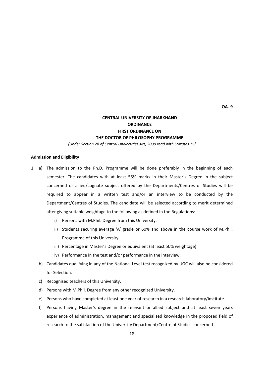**OA‐ 9**

#### **CENTRAL UNIVERSITY OF JHARKHAND ORDINANCE FIRST ORDINANCE ON THE DOCTOR OF PHILOSOPHY PROGRAMME**

*[Under Section 28 of Central Universities Act, 2009 read with Statutes 15]*

#### **Admission and Eligibility**

- 1. a) The admission to the Ph.D. Programme will be done preferably in the beginning of each semester. The candidates with at least 55% marks in their Master's Degree in the subject concerned or allied/cognate subject offered by the Departments/Centres of Studies will be required to appear in a written test and/or an interview to be conducted by the Department/Centres of Studies. The candidate will be selected according to merit determined after giving suitable weightage to the following as defined in the Regulations:‐
	- i) Persons with M.Phil. Degree from this University.
	- ii) Students securing average 'A' grade or 60% and above in the course work of M.Phil. Programme of this University.
	- iii) Percentage in Master's Degree or equivalent (at least 50% weightage)
	- iv) Performance in the test and/or performance in the interview.
	- b) Candidates qualifying in any of the National Level test recognized by UGC will also be considered for Selection.
	- c) Recognised teachers of this University.
	- d) Persons with M.Phil. Degree from any other recognized University.
	- e) Persons who have completed at least one year of research in a research laboratory/institute.
	- f) Persons having Master's degree in the relevant or allied subject and at least seven years experience of administration, management and specialised knowledge in the proposed field of research to the satisfaction of the University Department/Centre of Studies concerned.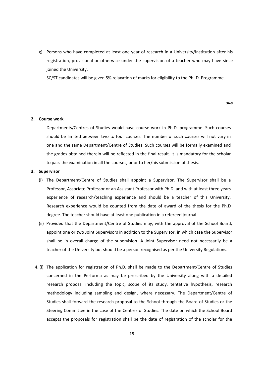g) Persons who have completed at least one year of research in a University/Institution after his registration, provisional or otherwise under the supervision of a teacher who may have since joined the University.

SC/ST candidates will be given 5% relaxation of marks for eligibility to the Ph. D. Programme.

**OA‐9**

#### **2. Course work**

Departments/Centres of Studies would have course work in Ph.D. programme. Such courses should be limited between two to four courses. The number of such courses will not vary in one and the same Department/Centre of Studies. Such courses will be formally examined and the grades obtained therein will be reflected in the final result. It is mandatory for the scholar to pass the examination in all the courses, prior to her/his submission of thesis.

#### **3. Supervisor**

- (i) The Department/Centre of Studies shall appoint a Supervisor. The Supervisor shall be a Professor, Associate Professor or an Assistant Professor with Ph.D. and with at least three years experience of research/teaching experience and should be a teacher of this University. Research experience would be counted from the date of award of the thesis for the Ph.D degree. The teacher should have at least one publication in a refereed journal.
- (ii) Provided that the Department/Centre of Studies may, with the approval of the School Board, appoint one or two Joint Supervisors in addition to the Supervisor, in which case the Supervisor shall be in overall charge of the supervision. A Joint Supervisor need not necessarily be a teacher of the University but should be a person recognised as per the University Regulations.
- 4. (i) The application for registration of Ph.D. shall be made to the Department/Centre of Studies concerned in the Performa as may be prescribed by the University along with a detailed research proposal including the topic, scope of its study, tentative hypothesis, research methodology including sampling and design, where necessary. The Department/Centre of Studies shall forward the research proposal to the School through the Board of Studies or the Steering Committee in the case of the Centres of Studies. The date on which the School Board accepts the proposals for registration shall be the date of registration of the scholar for the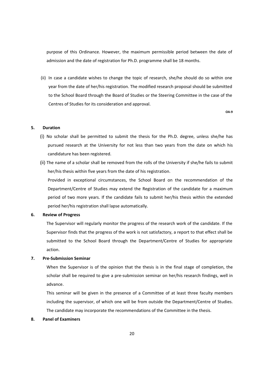purpose of this Ordinance. However, the maximum permissible period between the date of admission and the date of registration for Ph.D. programme shall be 18 months.

(ii) In case a candidate wishes to change the topic of research, she/he should do so within one year from the date of her/his registration. The modified research proposal should be submitted to the School Board through the Board of Studies or the Steering Committee in the case of the Centres of Studies for its consideration and approval.

**OA‐9**

#### **5. Duration**

- (i) No scholar shall be permitted to submit the thesis for the Ph.D. degree, unless she/he has pursued research at the University for not less than two years from the date on which his candidature has been registered.
- (ii) The name of a scholar shall be removed from the rolls of the University if she/he fails to submit her/his thesis within five years from the date of his registration.

Provided in exceptional circumstances, the School Board on the recommendation of the Department/Centre of Studies may extend the Registration of the candidate for a maximum period of two more years. If the candidate fails to submit her/his thesis within the extended period her/his registration shall lapse automatically.

#### **6. Review of Progress**

The Supervisor will regularly monitor the progress of the research work of the candidate. If the Supervisor finds that the progress of the work is not satisfactory, a report to that effect shall be submitted to the School Board through the Department/Centre of Studies for appropriate action.

#### **7. Pre‐Submission Seminar**

When the Supervisor is of the opinion that the thesis is in the final stage of completion, the scholar shall be required to give a pre‐submission seminar on her/his research findings, well in advance.

This seminar will be given in the presence of a Committee of at least three faculty members including the supervisor, of which one will be from outside the Department/Centre of Studies. The candidate may incorporate the recommendations of the Committee in the thesis.

#### **8. Panel of Examiners**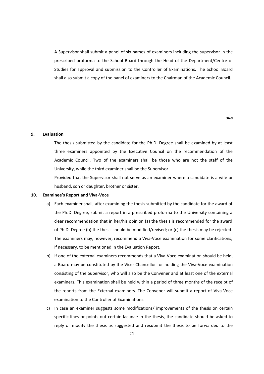A Supervisor shall submit a panel of six names of examiners including the supervisor in the prescribed proforma to the School Board through the Head of the Department/Centre of Studies for approval and submission to the Controller of Examinations. The School Board shall also submit a copy of the panel of examiners to the Chairman of the Academic Council.

**OA‐9**

#### **9. Evaluation**

The thesis submitted by the candidate for the Ph.D. Degree shall be examined by at least three examiners appointed by the Executive Council on the recommendation of the Academic Council. Two of the examiners shall be those who are not the staff of the University, while the third examiner shall be the Supervisor.

Provided that the Supervisor shall not serve as an examiner where a candidate is a wife or husband, son or daughter, brother or sister.

#### **10. Examinee's Report and Viva‐Voce**

- a) Each examiner shall, after examining the thesis submitted by the candidate for the award of the Ph.D. Degree, submit a report in a prescribed proforma to the University containing a clear recommendation that in her/his opinion (a) the thesis is recommended for the award of Ph.D. Degree (b) the thesis should be modified/revised; or (c) the thesis may be rejected. The examiners may, however, recommend a Viva-Voce examination for some clarifications, if necessary. to be mentioned in the Evaluation Report.
- b) If one of the external examiners recommends that a Viva-Voce examination should be held, a Board may be constituted by the Vice- Chancellor for holding the Viva-Voce examination consisting of the Supervisor, who will also be the Convener and at least one of the external examiners. This examination shall be held within a period of three months of the receipt of the reports from the External examiners. The Convener will submit a report of Viva‐Voce examination to the Controller of Examinations.
- c) In case an examiner suggests some modifications/ improvements of the thesis on certain specific lines or points out certain lacunae in the thesis, the candidate should be asked to reply or modify the thesis as suggested and resubmit the thesis to be forwarded to the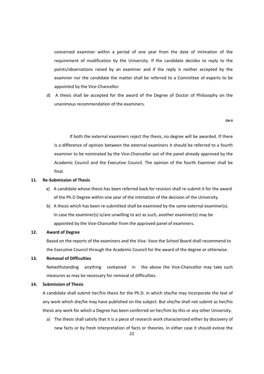concerned examiner within a period of one year from the date of intimation of the requirement of modification by the University. If the candidate decides to reply to the points/observations raised by an examiner and if the reply is neither accepted by the examiner nor the candidate the matter shall be referred to a Committee of experts to be appointed by the Vice‐Chancellor.

d) A thesis shall be accepted for the award of the Degree of Doctor of Philosophy on the unanimous recommendation of the examiners.

#### **OA‐9**

If both the external examiners reject the thesis, no degree will be awarded. If there is a difference of opinion between the external examiners it should be referred to a fourth examiner to be nominated by the Vice‐Chancellor out of the panel already approved by the Academic Council and the Executive Council. The opinion of the fourth Examiner shall be final.

#### **11. Re‐Submission of Thesis**

- a) A candidate whose thesis has been referred back for revision shall re-submit it for the award of the Ph.D Degree within one year of the intimation of the decision of the University.
- b) A thesis which has been re-submitted shall be examined by the same external examiner(s). In case the examiner(s) is/are unwilling to act as such, another examiner(s) may be appointed by the Vice‐Chancellor from the approved panel of examiners.

#### **12. Award of Degree**

Based on the reports of the examiners and the Viva‐ Voce the School Board shall recommend to the Executive Council through the Academic Council for the award of the degree or otherwise.

#### **13. Removal of Difficulties**

Notwithstanding anything contained in the above the Vice-Chancellor may take such measures as may be necessary for removal of difficulties.

#### **14. Submission of Thesis**

A candidate shall submit her/his thesis for the Ph.D. in which she/he may incorporate the text of any work which she/he may have published on the subject. But she/he shall not submit as her/his thesis any work for which a Degree has been conferred on her/him by this or any other University.

a) The thesis shall satisfy that it is a piece of research work characterized either by discovery of new facts or by fresh interpretation of facts or theories. In either case it should evince the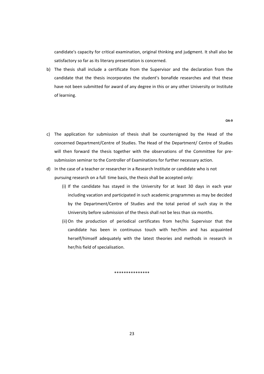candidate's capacity for critical examination, original thinking and judgment. It shall also be satisfactory so far as its literary presentation is concerned.

b) The thesis shall include a certificate from the Supervisor and the declaration from the candidate that the thesis incorporates the student's bonafide researches and that these have not been submitted for award of any degree in this or any other University or Institute of learning.

#### **OA‐9**

- c) The application for submission of thesis shall be countersigned by the Head of the concerned Department/Centre of Studies. The Head of the Department/ Centre of Studies will then forward the thesis together with the observations of the Committee for presubmission seminar to the Controller of Examinations for further necessary action.
- d) In the case of a teacher or researcher in a Research Institute or candidate who is not pursuing research on a full time basis, the thesis shall be accepted only:
	- (i) If the candidate has stayed in the University for at least 30 days in each year including vacation and participated in such academic programmes as may be decided by the Department/Centre of Studies and the total period of such stay in the University before submission of the thesis shall not be less than six months.
	- (ii)On the production of periodical certificates from her/his Supervisor that the candidate has been in continuous touch with her/him and has acquainted herself/himself adequately with the latest theories and methods in research in her/his field of specialisation.

\*\*\*\*\*\*\*\*\*\*\*\*\*\*\*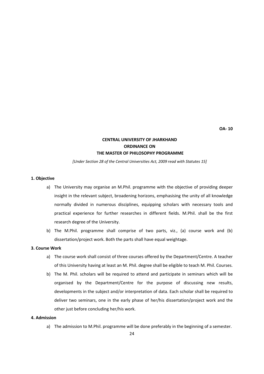**OA‐ 10**

#### **CENTRAL UNIVERSITY OF JHARKHAND ORDINANCE ON THE MASTER OF PHILOSOPHY PROGRAMME**

*[Under Section 28 of the Central Universities Act, 2009 read with Statutes 15]*

#### **1. Objective**

- a) The University may organise an M.Phil. programme with the objective of providing deeper insight in the relevant subject, broadening horizons, emphasising the unity of all knowledge normally divided in numerous disciplines, equipping scholars with necessary tools and practical experience for further researches in different fields. M.Phil. shall be the first research degree of the University.
- b) The M.Phil. programme shall comprise of two parts, viz., (a) course work and (b) dissertation/project work. Both the parts shall have equal weightage.

#### **3. Course Work**

- a) The course work shall consist of three courses offered by the Department/Centre. A teacher of this University having at least an M. Phil. degree shall be eligible to teach M. Phil. Courses.
- b) The M. Phil. scholars will be required to attend and participate in seminars which will be organised by the Department/Centre for the purpose of discussing new results, developments in the subject and/or interpretation of data. Each scholar shall be required to deliver two seminars, one in the early phase of her/his dissertation/project work and the other just before concluding her/his work.

#### **4. Admission**

a) The admission to M.Phil. programme will be done preferably in the beginning of a semester.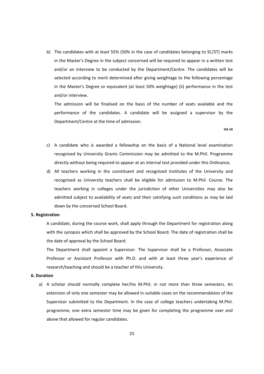b) The candidates with at least 55% (50% in the case of candidates belonging to SC/ST) marks in the Master's Degree in the subject concerned will be required to appear in a written test and/or an interview to be conducted by the Department/Centre. The candidates will be selected according to merit determined after giving weightage to the following percentage in the Master's Degree or equivalent (at least 50% weightage) (ii) performance in the test and/or interview.

The admission will be finalised on the basis of the number of seats available and the performance of the candidates. A candidate will be assigned a supervisor by the Department/Centre at the time of admission.

**OA‐10**

- c) A candidate who is awarded a fellowship on the basis of a National level examination recognised by University Grants Commission may be admitted to the M.Phil. Programme directly without being required to appear at an internal test provided under this Ordinance.
- d) All teachers working in the constituent and recognized Institutes of the University and recognised as University teachers shall be eligible for admission to M.Phil. Course. The teachers working in colleges under the jurisdiction of other Universities may also be admitted subject to availability of seats and their satisfying such conditions as may be laid down by the concerned School Board.

#### **5. Registration**

A candidate, during the course work, shall apply through the Department for registration along with the synopsis which shall be approved by the School Board. The date of registration shall be the date of approval by the School Board.

The Department shall appoint a Supervisor. The Supervisor shall be a Professor, Associate Professor or Assistant Professor with Ph.D. and with at least three year's experience of research/teaching and should be a teacher of this University.

#### **6. Duration**

a) A scholar should normally complete her/his M.Phil. in not more than three semesters. An extension of only one semester may be allowed in suitable cases on the recommendation of the Supervisor submitted to the Department. In the case of college teachers undertaking M.Phil. programme, one extra semester time may be given for completing the programme over and above that allowed for regular candidates.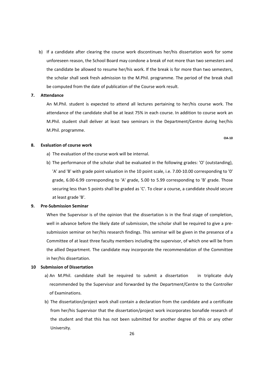b) If a candidate after clearing the course work discontinues her/his dissertation work for some unforeseen reason, the School Board may condone a break of not more than two semesters and the candidate be allowed to resume her/his work. If the break is for more than two semesters, the scholar shall seek fresh admission to the M.Phil. programme. The period of the break shall be computed from the date of publication of the Course work result.

#### **7. Attendance**

An M.Phil. student is expected to attend all lectures pertaining to her/his course work. The attendance of the candidate shall be at least 75% in each course. In addition to course work an M.Phil. student shall deliver at least two seminars in the Department/Centre during her/his M.Phil. programme.

**OA‐10**

#### **8. Evaluation of course work**

- a) The evaluation of the course work will be internal.
- b) The performance of the scholar shall be evaluated in the following grades: 'O' (outstanding), 'A' and 'B' with grade point valuation in the 10 point scale, i.e. 7.00‐10.00 corresponding to '0' grade, 6.00‐6.99 corresponding to 'A' grade, 5.00 to 5.99 corresponding to 'B' grade. Those securing less than 5 points shall be graded as 'C'. To clear a course, a candidate should secure at least grade 'B'.

#### **9. Pre‐Submission Seminar**

When the Supervisor is of the opinion that the dissertation is in the final stage of completion, well in advance before the likely date of submission, the scholar shall be required to give a presubmission seminar on her/his research findings. This seminar will be given in the presence of a Committee of at least three faculty members including the supervisor, of which one will be from the allied Department. The candidate may incorporate the recommendation of the Committee in her/his dissertation.

#### **10 Submission of Dissertation**

- a) An M.Phil. candidate shall be required to submit a dissertation in triplicate duly recommended by the Supervisor and forwarded by the Department/Centre to the Controller of Examinations.
- b) The dissertation/project work shall contain a declaration from the candidate and a certificate from her/his Supervisor that the dissertation/project work incorporates bonafide research of the student and that this has not been submitted for another degree of this or any other University.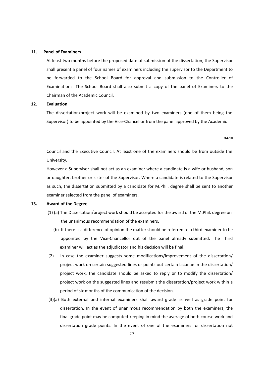#### **11. Panel of Examiners**

At least two months before the proposed date of submission of the dissertation, the Supervisor shall present a panel of four names of examiners including the supervisor to the Department to be forwarded to the School Board for approval and submission to the Controller of Examinations. The School Board shall also submit a copy of the panel of Examiners to the Chairman of the Academic Council.

#### **12. Evaluation**

The dissertation/project work will be examined by two examiners (one of them being the Supervisor) to be appointed by the Vice-Chancellor from the panel approved by the Academic

#### **OA‐10**

Council and the Executive Council. At least one of the examiners should be from outside the University.

However a Supervisor shall not act as an examiner where a candidate is a wife or husband, son or daughter, brother or sister of the Supervisor. Where a candidate is related to the Supervisor as such, the dissertation submitted by a candidate for M.Phil. degree shall be sent to another examiner selected from the panel of examiners.

#### **13. Award of the Degree**

- (1) (a) The Dissertation/project work should be accepted for the award of the M.Phil. degree on the unanimous recommendation of the examiners.
	- (b) If there is a difference of opinion the matter should be referred to a third examiner to be appointed by the Vice‐Chancellor out of the panel already submitted. The Third examiner will act as the adjudicator and his decision will be final.
- (2) In case the examiner suggests some modifications/improvement of the dissertation/ project work on certain suggested lines or points out certain lacunae in the dissertation/ project work, the candidate should be asked to reply or to modify the dissertation/ project work on the suggested lines and resubmit the dissertation/project work within a period of six months of the communication of the decision.
- (3)(a) Both external and internal examiners shall award grade as well as grade point for dissertation. In the event of unanimous recommendation by both the examiners, the final grade point may be computed keeping in mind the average of both course work and dissertation grade points. In the event of one of the examiners for dissertation not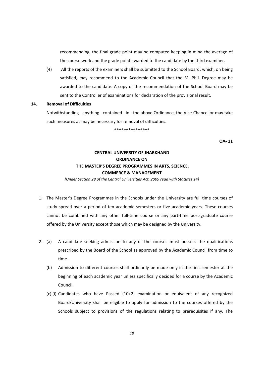recommending, the final grade point may be computed keeping in mind the average of the course work and the grade point awarded to the candidate by the third examiner.

(4) All the reports of the examiners shall be submitted to the School Board, which, on being satisfied, may recommend to the Academic Council that the M. Phil. Degree may be awarded to the candidate. A copy of the recommendation of the School Board may be sent to the Controller of examinations for declaration of the provisional result.

#### **14. Removal of Difficulties**

Notwithstanding anything contained in the above Ordinance, the Vice-Chancellor may take such measures as may be necessary for removal of difficulties.

**OA‐ 11**

#### **CENTRAL UNIVERSITY OF JHARKHAND ORDINANCE ON THE MASTER'S DEGREE PROGRAMMES IN ARTS, SCIENCE, COMMERCE & MANAGEMENT**

\*\*\*\*\*\*\*\*\*\*\*\*\*\*\*

*[Under Section 28 of the Central Universities Act, 2009 read with Statutes 14]*

- 1. The Master's Degree Programmes in the Schools under the University are full time courses of study spread over a period of ten academic semesters or five academic years. These courses cannot be combined with any other full-time course or any part-time post-graduate course offered by the University except those which may be designed by the University.
- 2. (a) A candidate seeking admission to any of the courses must possess the qualifications prescribed by the Board of the School as approved by the Academic Council from time to time.
	- (b) Admission to different courses shall ordinarily be made only in the first semester at the beginning of each academic year unless specifically decided for a course by the Academic Council.
	- (c) (i) Candidates who have Passed (10+2) examination or equivalent of any recognized Board/University shall be eligible to apply for admission to the courses offered by the Schools subject to provisions of the regulations relating to prerequisites if any. The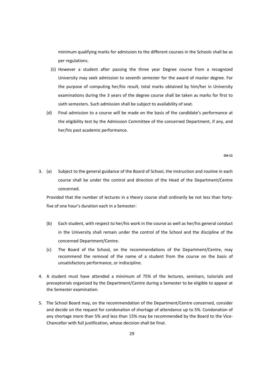minimum qualifying marks for admission to the different courses in the Schools shall be as per regulations.

- (ii) However a student after passing the three year Degree course from a recognized University may seek admission to seventh semester for the award of master degree. For the purpose of computing her/his result, total marks obtained by him/her in University examinations during the 3 years of the degree course shall be taken as marks for first to sixth semesters. Such admission shall be subject to availability of seat.
- (d) Final admission to a course will be made on the basis of the candidate's performance at the eligibility test by the Admission Committee of the concerned Department, if any, and her/his past academic performance.

**OA‐11**

3. (a) Subject to the general guidance of the Board of School, the instruction and routine in each course shall be under the control and direction of the Head of the Department/Centre concerned.

Provided that the number of lectures in a theory course shall ordinarily be not less than forty‐ five of one hour's duration each in a Semester:

- (b) Each student, with respect to her/his work in the course as well as her/his general conduct in the University shall remain under the control of the School and the discipline of the concerned Department/Centre.
- (c) The Board of the School, on the recommendations of the Department/Centre, may recommend the removal of the name of a student from the course on the basis of unsatisfactory performance, or indiscipline.
- 4. A student must have attended a minimum of 75% of the lectures, seminars, tutorials and preceptorials organized by the Department/Centre during a Semester to be eligible to appear at the Semester examination.
- 5. The School Board may, on the recommendation of the Department/Centre concerned, consider and decide on the request for condonation of shortage of attendance up to 5%. Condonation of any shortage more than 5% and less than 15% may be recommended by the Board to the Vice-Chancellor with full justification, whose decision shall be final.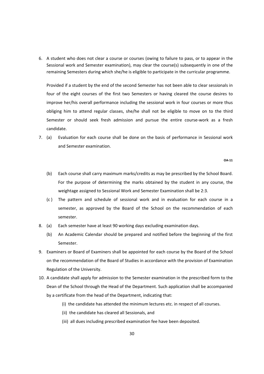6. A student who does not clear a course or courses (owing to failure to pass, or to appear in the Sessional work and Semester examination), may clear the course(s) subsequently in one of the remaining Semesters during which she/he is eligible to participate in the curricular programme.

Provided if a student by the end of the second Semester has not been able to clear sessionals in four of the eight courses of the first two Semesters or having cleared the course desires to improve her/his overall performance including the sessional work in four courses or more thus obliging him to attend regular classes, she/he shall not be eligible to move on to the third Semester or should seek fresh admission and pursue the entire course-work as a fresh candidate.

7. (a) Evaluation for each course shall be done on the basis of performance in Sessional work and Semester examination.

**OA‐11**

- (b) Each course shall carry maximum marks/credits as may be prescribed by the School Board. For the purpose of determining the marks obtained by the student in any course, the weightage assigned to Sessional Work and Semester Examination shall be 2:3.
- (c ) The pattern and schedule of sessional work and in evaluation for each course in a semester, as approved by the Board of the School on the recommendation of each semester.
- 8. (a) Each semester have at least 90 working days excluding examination days.
	- (b) An Academic Calendar should be prepared and notified before the beginning of the first Semester.
- 9. Examiners or Board of Examiners shall be appointed for each course by the Board of the School on the recommendation of the Board of Studies in accordance with the provision of Examination Regulation of the University.
- 10. A candidate shall apply for admission to the Semester examination in the prescribed form to the Dean of the School through the Head of the Department. Such application shall be accompanied by a certificate from the head of the Department, indicating that:
	- (i) the candidate has attended the minimum lectures etc. in respect of all courses.
	- (ii) the candidate has cleared all Sessionals, and
	- (iii) all dues including prescribed examination fee have been deposited.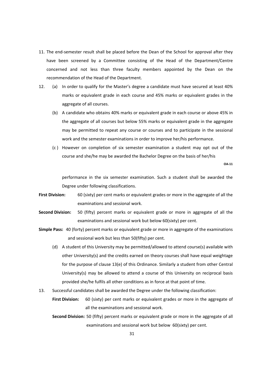- 11. The end-semester result shall be placed before the Dean of the School for approval after they have been screened by a Committee consisting of the Head of the Department/Centre concerned and not less than three faculty members appointed by the Dean on the recommendation of the Head of the Department.
- 12. (a) In order to qualify for the Master's degree a candidate must have secured at least 40% marks or equivalent grade in each course and 45% marks or equivalent grades in the aggregate of all courses.
	- (b) A candidate who obtains 40% marks or equivalent grade in each course or above 45% in the aggregate of all courses but below 55% marks or equivalent grade in the aggregate may be permitted to repeat any course or courses and to participate in the sessional work and the semester examinations in order to improve her/his performance.
	- (c ) However on completion of six semester examination a student may opt out of the course and she/he may be awarded the Bachelor Degree on the basis of her/his

**OA‐11**

 performance in the six semester examination. Such a student shall be awarded the Degree under following classifications.

- **First Division:**  60 (sixty) per cent marks or equivalent grades or more in the aggregate of all the examinations and sessional work.
- **Second Division:**  50 (fifty) percent marks or equivalent grade or more in aggregate of all the examinations and sessional work but below 60(sixty) per cent.
- **Simple Pass:** 40 (forty) percent marks or equivalent grade or more in aggregate of the examinations and sessional work but less than 50(fifty) per cent.
	- (d) A student of this University may be permitted/allowed to attend course(s) available with other University(s) and the credits earned on theory courses shall have equal weightage for the purpose of clause 13(e) of this Ordinance. Similarly a student from other Central University(s) may be allowed to attend a course of this University on reciprocal basis provided she/he fulfils all other conditions as in force at that point of time.
- 13. Successful candidates shall be awarded the Degree under the following classification: **First Division:** 60 (sixty) per cent marks or equivalent grades or more in the aggregate of

all the examinations and sessional work.

**Second Division:** 50 (fifty) percent marks or equivalent grade or more in the aggregate of all examinations and sessional work but below 60(sixty) per cent.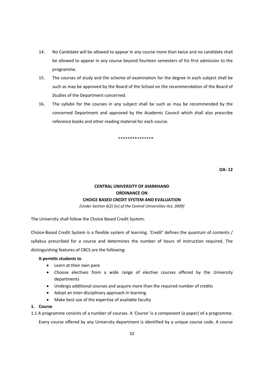- 14. No Candidate will be allowed to appear in any course more than twice and no candidate shall be allowed to appear in any course beyond fourteen semesters of his first admission to the programme.
- 15. The courses of study and the scheme of examination for the degree in each subject shall be such as may be approved by the Board of the School on the recommendation of the Board of Studies of the Department concerned.
- 16. The syllabii for the courses in any subject shall be such as may be recommended by the concerned Department and approved by the Academic Council which shall also prescribe reference books and other reading material for each course.

#### \*\*\*\*\*\*\*\*\*\*\*\*\*\*\*

**OA‐ 12**

#### **CENTRAL UNIVERSITY OF JHARKHAND ORDINANCE ON CHOICE BASED CREDIT SYSTEM AND EVALUATION**

*[Under Section 6(2) (iv) of the Central Universities Act, 2009]*

The University shall follow the Choice Based Credit System:

Choice‐Based Credit System is a flexible system of learning. *'Credit'* defines the quantum of contents / syllabus prescribed for a course and determines the number of hours of instruction required. The distinguishing features of CBCS are the following:

#### **It permits students to**

- Learn at their own pace
- Choose electives from a wide range of elective courses offered by the University departments
- Undergo additional courses and acquire more than the required number of credits
- Adopt an inter-disciplinary approach in learning
- Make best use of the expertise of available faculty

#### **1. Course**

1.1 A programme consists of a number of courses. A *'Course'* is a component (a paper) of a programme.

Every course offered by any University department is identified by a unique course code. A course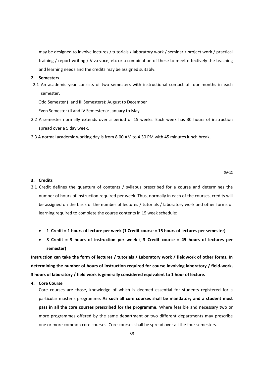may be designed to involve lectures / tutorials / laboratory work / seminar / project work / practical training / report writing / Viva voce, etc or a combination of these to meet effectively the teaching and learning needs and the credits may be assigned suitably.

#### **2. Semesters**

2.1 An academic year consists of two semesters with instructional contact of four months in each semester.

Odd Semester (I and III Semesters): August to December

Even Semester (II and IV Semesters): January to May

- 2.2 A semester normally extends over a period of 15 weeks. Each week has 30 hours of instruction spread over a 5 day week.
- 2.3 A normal academic working day is from 8.00 AM to 4.30 PM with 45 minutes lunch break.

#### **3. Credits**

- 3.1 Credit defines the quantum of contents / syllabus prescribed for a course and determines the number of hours of instruction required per week. Thus, normally in each of the courses, credits will be assigned on the basis of the number of lectures / tutorials / laboratory work and other forms of learning required to complete the course contents in 15 week schedule:
	- 1 Credit = 1 hours of lecture per week (1 Credit course = 15 hours of lectures per semester)
	- **3 Credit = 3 hours of instruction per week ( 3 Credit course = 45 hours of lectures per semester)**

Instruction can take the form of lectures / tutorials / Laboratory work / fieldwork of other forms. In **determining the number of hours of instruction required for course involving laboratory / field‐work, 3 hours of laboratory / field work is generally considered equivalent to 1 hour of lecture.**

**4. Core Course**

Core courses are those, knowledge of which is deemed essential for students registered for a particular master's programme. **As such all core courses shall be mandatory and a student must pass in all the core courses prescribed for the programme.** Where feasible and necessary two or more programmes offered by the same department or two different departments may prescribe one or more common core courses. Core courses shall be spread over all the four semesters.

**OA‐12**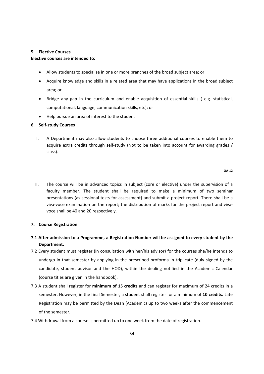#### **5. Elective Courses**

#### **Elective courses are intended to:**

- Allow students to specialize in one or more branches of the broad subject area; or
- Acquire knowledge and skills in a related area that may have applications in the broad subject area; or
- Bridge any gap in the curriculum and enable acquisition of essential skills (e.g. statistical, computational, language, communication skills, etc); or
- Help pursue an area of interest to the student

#### **6. Self‐study Courses**

I. A Department may also allow students to choose three additional courses to enable them to acquire extra credits through self-study (Not to be taken into account for awarding grades / class).

#### **OA‐12**

II. The course will be in advanced topics in subject (core or elective) under the supervision of a faculty member. The student shall be required to make a minimum of two seminar presentations (as sessional tests for assessment) and submit a project report. There shall be a viva‐voce examination on the report; the distribution of marks for the project report and viva‐ voce shall be 40 and 20 respectively.

#### **7. Course Registration**

- **7.1 After admission to a Programme, a Registration Number will be assigned to every student by the Department.**
- 7.2 Every student must register (in consultation with her/his advisor) for the courses she/he intends to undergo in that semester by applying in the prescribed proforma in triplicate (duly signed by the candidate, student advisor and the HOD), within the dealing notified in the Academic Calendar (course titles are given in the handbook).
- 7.3 A student shall register for **minimum of 15 credits** and can register for maximum of 24 credits in a semester. However, in the final Semester, a student shall register for a minimum of **10 credits.** Late Registration may be permitted by the Dean (Academic) up to two weeks after the commencement of the semester.
- 7.4 Withdrawal from a course is permitted up to one week from the date of registration.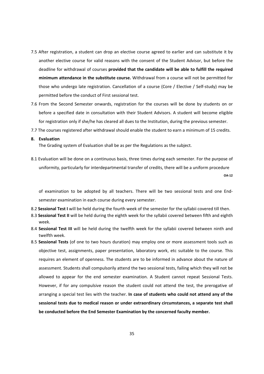- 7.5 After registration, a student can drop an elective course agreed to earlier and can substitute it by another elective course for valid reasons with the consent of the Student Advisor, but before the deadline for withdrawal of courses **provided that the candidate will be able to fulfill the required minimum attendance in the substitute course.** Withdrawal from a course will not be permitted for those who undergo late registration. Cancellation of a course (Core / Elective / Self‐study) may be permitted before the conduct of First sessional test.
- 7.6 From the Second Semester onwards, registration for the courses will be done by students on or before a specified date in consultation with their Student Advisors. A student will become eligible for registration only if she/he has cleared all dues to the Institution, during the previous semester.
- 7.7 The courses registered after withdrawal should enable the student to earn a minimum of 15 credits.

#### **8. Evaluation**

The Grading system of Evaluation shall be as per the Regulations as the subject.

8.1 Evaluation will be done on a continuous basis, three times during each semester. For the purpose of uniformity, particularly for interdepartmental transfer of credits, there will be a uniform procedure **OA‐12**

of examination to be adopted by all teachers. There will be two sessional tests and one End‐ semester examination in each course during every semester.

- 8.2 **Sessional Test I** will be held during the fourth week of the semester for the syllabii covered till then.
- 8.3 **Sessional Test II** will be held during the eighth week for the syllabii covered between fifth and eighth week.
- 8.4 **Sessional Test III** will be held during the twelfth week for the syllabii covered between ninth and twelfth week.
- 8.5 **Sessional Tests** (of one to two hours duration) may employ one or more assessment tools such as objective test, assignments, paper presentation, laboratory work, etc suitable to the course. This requires an element of openness. The students are to be informed in advance about the nature of assessment. Students shall compulsorily attend the two sessional tests, failing which they will not be allowed to appear for the end semester examination. A Student cannot repeat Sessional Tests. However, if for any compulsive reason the student could not attend the test, the prerogative of arranging a special test lies with the teacher. **In case of students who could not attend any of the sessional tests due to medical reason or under extraordinary circumstances, a separate test shall be conducted before the End Semester Examination by the concerned faculty member.**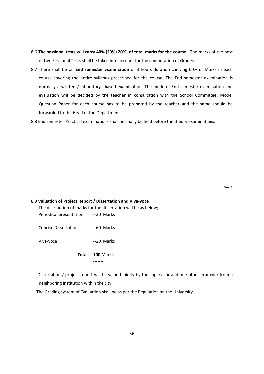- 8.6 **The sessional tests will carry 40% (20%+20%) of total marks for the course.** The marks of the best of two Sessional Tests shall be taken into account for the computation of Grades.
- 8.7 There shall be on **End semester examination** of 3 hours duration carrying 60% of Marks in each course covering the entire syllabus prescribed for the course. The End semester examination is normally a written / laboratory –based examination. The mode of End semester examination and evaluation will be decided by the teacher in consultation with the School Committee. Model Question Paper for each course has to be prepared by the teacher and the same should be forwarded to the Head of the Department.
- 8.8 End semester Practical examinations shall normally be held before the theory examinations.

### 8.9 **Valuation of Project Report / Dissertation and Viva‐voce** The distribution of marks for the dissertation will be as below; Periodical presentation -- 20 Marks Concise Dissertation ‐‐60 Marks Viva‐voce ‐‐20 Marks ‐‐‐‐‐‐‐ **Total 100 Marks**  ‐‐‐‐‐‐‐

 Dissertation / project report will be valued jointly by the supervisor and one other examiner from a neighboring institution within the city.

The Grading system of Evaluation shall be as per the Regulation on the University.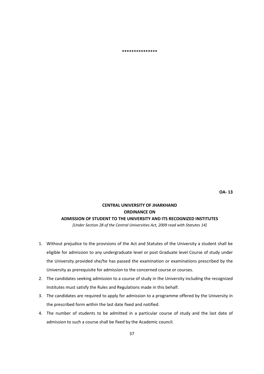**\*\*\*\*\*\*\*\*\*\*\*\*\*\*\***

**OA‐ 13**

# **CENTRAL UNIVERSITY OF JHARKHAND ORDINANCE ON ADMISSION OF STUDENT TO THE UNIVERSITY AND ITS RECOGNIZED INSTITUTES**

*[Under Section 28 of the Central Universities Act, 2009 read with Statutes 14]*

- 1. Without prejudice to the provisions of the Act and Statutes of the University a student shall be eligible for admission to any undergraduate level or post Graduate level Course of study under the University provided she/he has passed the examination or examinations prescribed by the University as prerequisite for admission to the concerned course or courses.
- 2. The candidates seeking admission to a course of study in the University including the recognized Institutes must satisfy the Rules and Regulations made in this behalf.
- 3. The candidates are required to apply for admission to a programme offered by the University in the prescribed form within the last date fixed and notified.
- 4. The number of students to be admitted in a particular course of study and the last date of admission to such a course shall be fixed by the Academic council.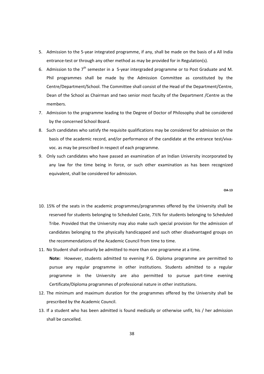- 5. Admission to the 5-year integrated programme, if any, shall be made on the basis of a All India entrance-test or through any other method as may be provided for in Regulation(s).
- 6. Admission to the 7<sup>th</sup> semester in a 5-year intergraded programme or to Post Graduate and M. Phil programmes shall be made by the Admission Committee as constituted by the Centre/Department/School. The Committee shall consist of the Head of the Department/Centre, Dean of the School as Chairman and two senior most faculty of the Department /Centre as the members.
- 7. Admission to the programme leading to the Degree of Doctor of Philosophy shall be considered by the concerned School Board.
- 8. Such candidates who satisfy the requisite qualifications may be considered for admission on the basis of the academic record, and/or performance of the candidate at the entrance test/vivavoc. as may be prescribed in respect of each programme.
- 9. Only such candidates who have passed an examination of an Indian University incorporated by any law for the time being in force, or such other examination as has been recognized equivalent, shall be considered for admission.

**OA‐13**

- 10. 15% of the seats in the academic programmes/programmes offered by the University shall be reserved for students belonging to Scheduled Caste, 7½% for students belonging to Scheduled Tribe. Provided that the University may also make such special provision for the admission of candidates belonging to the physically handicapped and such other disadvantaged groups on the recommendations of the Academic Council from time to time.
- 11. No Student shall ordinarily be admitted to more than one programme at a time. Note: However, students admitted to evening P.G. Diploma programme are permitted to pursue any regular programme in other institutions. Students admitted to a regular programme in the University are also permitted to pursue part-time evening Certificate/Diploma programmes of professional nature in other institutions.
- 12. The minimum and maximum duration for the programmes offered by the University shall be prescribed by the Academic Council.
- 13. If a student who has been admitted is found medically or otherwise unfit, his / her admission shall be cancelled.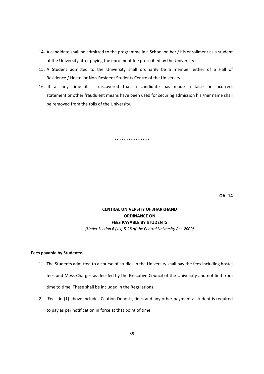- 14. A candidate shall be admitted to the programme in a School on her / his enrollment as a student of the University after paying the enrolment fee prescribed by the University.
- 15. A Student admitted to the University shall ordinarily be a member either of a Hall of Residence / Hostel or Non‐Resident Students Centre of the University.
- 16. If at any time it is discovered that a candidate has made a false or incorrect statement or other fraudulent means have been used for securing admission his /her name shall be removed from the rolls of the University.

\*\*\*\*\*\*\*\*\*\*\*\*\*\*\*

**OA‐ 14**

# **CENTRAL UNIVERSITY OF JHARKHAND ORDINANCE ON FEES PAYABLE BY STUDENTS**:

*[Under Section 6 (xix) & 28 of the Central University Act, 2009]*

#### **Fees payable by Students:‐**

- 1) The Students admitted to a course of studies in the University shall pay the fees including hostel fees and Mess‐Charges as decided by the Executive Council of the University and notified from time to time. These shall be included in the Regulations.
- 2) 'Fees' in (1) above includes Caution Deposit, fines and any other payment a student is required to pay as per notification in force at that point of time.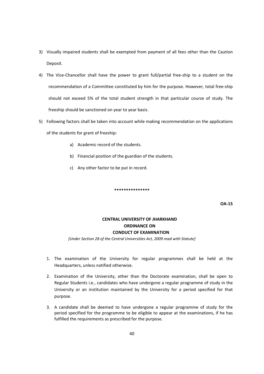- 3) Visually impaired students shall be exempted from payment of all fees other than the Caution Deposit.
- 4) The Vice-Chancellor shall have the power to grant full/partial free-ship to a student on the recommendation of a Committee constituted by him for the purpose. However, total free‐ship should not exceed 5% of the total student strength in that particular course of study. The freeship should be sanctioned on year to year basis.
- 5) Following factors shall be taken into account while making recommendation on the applications of the students for grant of freeship:
	- a) Academic record of the students.
	- b) Financial position of the guardian of the students.
	- c) Any other factor to be put in record.

**OA‐15**

## **CENTRAL UNIVERSITY OF JHARKHAND ORDINANCE ON CONDUCT OF EXAMINATION**

*[Under Section 28 of the Central Universities Act, 2009 read with Statute]*

**\*\*\*\*\*\*\*\*\*\*\*\*\*\*\***

- 1. The examination of the University for regular programmes shall be held at the Headquarters, unless notified otherwise.
- 2. Examination of the University, other than the Doctorate examination, shall be open to Regular Students i.e., candidates who have undergone a regular programme of study in the University or an institution maintained by the University for a period specified for that purpose.
- 3. A candidate shall be deemed to have undergone a regular programme of study for the period specified for the programme to be eligible to appear at the examinations, if he has fulfilled the requirements as prescribed for the purpose.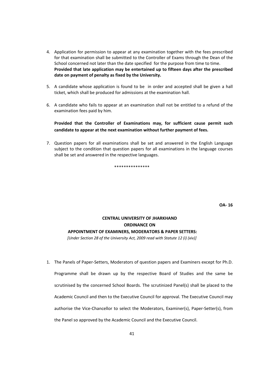- 4. Application for permission to appear at any examination together with the fees prescribed for that examination shall be submitted to the Controller of Exams through the Dean of the School concerned not later than the date specified for the purpose from time to time. **Provided that late application may be entertained up to fifteen days after the prescribed date on payment of penalty as fixed by the University.**
- 5. A candidate whose application is found to be in order and accepted shall be given a hall ticket, which shall be produced for admissions at the examination hall.
- 6. A candidate who fails to appear at an examination shall not be entitled to a refund of the examination fees paid by him.

**Provided that the Controller of Examinations may, for sufficient cause permit such candidate to appear at the next examination without further payment of fees.**

7. Question papers for all examinations shall be set and answered in the English Language subject to the condition that question papers for all examinations in the language courses shall be set and answered in the respective languages.

\*\*\*\*\*\*\*\*\*\*\*\*\*\*\*

**OA‐ 16**

## **CENTRAL UNIVERSITY OF JHARKHAND ORDINANCE ON APPOINTMENT OF EXAMINERS, MODERATORS & PAPER SETTERS:**

*[Under Section 28 of the University Act, 2009 read with Statute 12 (i) (xiv)]*

1. The Panels of Paper-Setters, Moderators of question papers and Examiners except for Ph.D. Programme shall be drawn up by the respective Board of Studies and the same be scrutinised by the concerned School Boards. The scrutinized Panel(s) shall be placed to the Academic Council and then to the Executive Council for approval. The Executive Council may authorise the Vice-Chancellor to select the Moderators, Examiner(s), Paper-Setter(s), from the Panel so approved by the Academic Council and the Executive Council.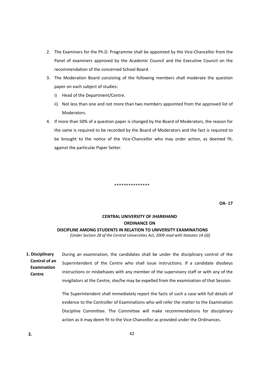- 2. The Examiners for the Ph.D. Programme shall be appointed by the Vice-Chancellor from the Panel of examiners approved by the Academic Council and the Executive Council on the recommendation of the concerned School Board.
- 3. The Moderation Board consisting of the following members shall moderate the question paper on each subject of studies:
	- i) Head of the Department/Centre.
	- ii) Not less than one and not more than two members appointed from the approved list of Moderators.
- 4. If more than 50% of a question paper is changed by the Board of Moderators, the reason for the same is required to be recorded by the Board of Moderators and the fact is required to be brought to the notice of the Vice‐Chancellor who may order action, as deemed fit, against the particular Paper Setter.

**OA‐ 17**

## **CENTRAL UNIVERSITY OF JHARKHAND ORDINANCE ON DISCIPLINE AMONG STUDENTS IN RELATION TO UNIVERSITY EXAMINATIONS**

\*\*\*\*\*\*\*\*\*\*\*\*\*\*\*

*[Under Section 28 of the Central Universities Act, 2009 read with Statutes 14 (d)]*

During an examination, the candidates shall be under the disciplinary control of the Superintendent of the Centre who shall issue instructions. If a candidate disobeys instructions or misbehaves with any member of the supervisory staff or with any of the invigilators at the Centre, she/he may be expelled from the examination of that Session. **1. Disciplinary Control of an Examination Centre**

> The Superintendent shall immediately report the facts of such a case with full details of evidence to the Controller of Examinations who will refer the matter to the Examination Discipline Committee. The Committee will make recommendations for disciplinary action as it may deem fit to the Vice‐Chancellor as provided under the Ordinances.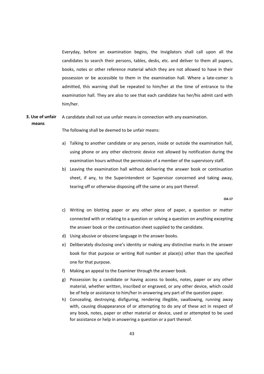Everyday, before an examination begins, the Invigilators shall call upon all the candidates to search their persons, tables, desks, etc. and deliver to them all papers, books, notes or other reference material which they are not allowed to have in their possession or be accessible to them in the examination hall. Where a late‐comer is admitted, this warning shall be repeated to him/her at the time of entrance to the examination hall. They are also to see that each candidate has her/his admit card with him/her.

#### A candidate shall not use unfair means in connection with any examination. **3. Use of unfair means**

The following shall be deemed to be unfair means:

- a) Talking to another candidate or any person, inside or outside the examination hall, using phone or any other electronic device not allowed by notification during the examination hours without the permission of a member of the supervisory staff.
- b) Leaving the examination hall without delivering the answer book or continuation sheet, if any, to the Superintendent or Supervisor concerned and taking away, tearing off or otherwise disposing off the same or any part thereof.

**OA‐17**

- c) Writing on blotting paper or any other piece of paper, a question or matter connected with or relating to a question or solving a question on anything excepting the answer book or the continuation sheet supplied to the candidate.
- d) Using abusive or obscene language in the answer books.
- e) Deliberately disclosing one's identity or making any distinctive marks in the answer book for that purpose or writing Roll number at place(s) other than the specified one for that purpose.
- f) Making an appeal to the Examiner through the answer book.
- g) Possession by a candidate or having access to books, notes, paper or any other material, whether written, inscribed or engraved, or any other device, which could be of help or assistance to him/her in answering any part of the question paper.
- h) Concealing, destroying, disfiguring, rendering illegible, swallowing, running away with, causing disappearance of or attempting to do any of these act in respect of any book, notes, paper or other material or device, used or attempted to be used for assistance or help in answering a question or a part thereof.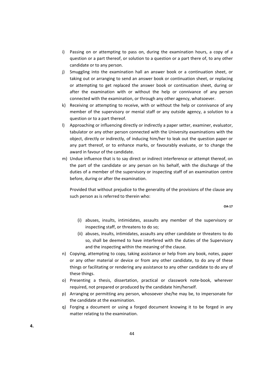- i) Passing on or attempting to pass on, during the examination hours, a copy of a question or a part thereof, or solution to a question or a part there of, to any other candidate or to any person.
- j) Smuggling into the examination hall an answer book or a continuation sheet, or taking out or arranging to send an answer book or continuation sheet, or replacing or attempting to get replaced the answer book or continuation sheet, during or after the examination with or without the help or connivance of any person connected with the examination, or through any other agency, whatsoever.
- k) Receiving or attempting to receive, with or without the help or connivance of any member of the supervisory or menial staff or any outside agency, a solution to a question or to a part thereof.
- l) Approaching or influencing directly or indirectly a paper setter, examiner, evaluator, tabulator or any other person connected with the University examinations with the object, directly or indirectly, of inducing him/her to leak out the question paper or any part thereof, or to enhance marks, or favourably evaluate, or to change the award in favour of the candidate.
- m) Undue influence that is to say direct or indirect interference or attempt thereof, on the part of the candidate or any person on his behalf, with the discharge of the duties of a member of the supervisory or inspecting staff of an examination centre before, during or after the examination.

Provided that without prejudice to the generality of the provisions of the clause any such person as is referred to therein who:

- (i) abuses, insults, intimidates, assaults any member of the supervisory or inspecting staff, or threatens to do so;
- (ii) abuses, insults, intimidates, assaults any other candidate or threatens to do so, shall be deemed to have interfered with the duties of the Supervisory and the inspecting within the meaning of the clause.
- n) Copying, attempting to copy, taking assistance or help from any book, notes, paper or any other material or device or from any other candidate, to do any of these things or facilitating or rendering any assistance to any other candidate to do any of these things.
- o) Presenting a thesis, dissertation, practical or classwork note‐book, wherever required, not prepared or produced by the candidate him/herself.
- p) Arranging or permitting any person, whosoever she/he may be, to impersonate for the candidate at the examination.
- q) Forging a document or using a forged document knowing it to be forged in any matter relating to the examination.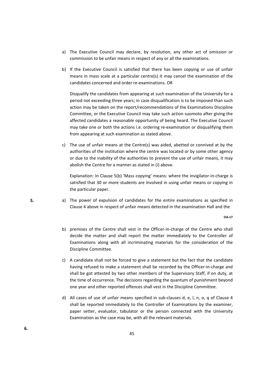- a) The Executive Council may declare, by resolution, any other act of omission or commission to be unfair means in respect of any or all the examinations.
- b) If the Executive Council is satisfied that there has been copying or use of unfair means in mass scale at a particular centre(s) it may cancel the examination of the candidates concerned and order re‐examinations. OR

 Disqualify the candidates from appearing at such examination of the University for a period not exceeding three years; in case disqualification is to be imposed than such action may be taken on the report/recommendations of the Examinations Discipline Committee, or the Executive Council may take such action suomoto after giving the affected candidates a reasonable opportunity of being heard. The Executive Council may take one or both the actions i.e. ordering re-examination or disqualifying them from appearing at such examination as stated above.

c) The use of unfair means at the Centre(s) was aided, abetted or connived at by the authorities of the institution where the centre was located or by some other agency or due to the inability of the authorities to prevent the use of unfair means, it may abolish the Centre for a manner as stated in (i) above.

Explanation: In Clause 5(b) 'Mass copying' means: where the invigilator-in-charge is satisfied that 30 or more students are involved in using unfair means or copying in the particular paper.

a) The power of expulsion of candidates for the entire examinations as specified in Clause 4 above in respect of unfair means detected in the examination Hall and the

**OA‐17**

- b) premises of the Centre shall vest in the Officer-in-charge of the Centre who shall decide the matter and shall report the matter immediately to the Controller of Examinations along with all incriminating materials for the consideration of the Discipline Committee.
- c) A candidate shall not be forced to give a statement but the fact that the candidate having refused to make a statement shall be recorded by the Officer‐in‐charge and shall be got attested by two other members of the Supervisory Staff, if on duty, at the time of occurrence. The decisions regarding the quantum of punishment beyond one year and other reported offences shall vest in the Discipline Committee.
- d) All cases of use of unfair means specified in sub-clauses d, e, l, n, o, q of Clause 4 shall be reported immediately to the Controller of Examinations by the examiner, paper setter, evaluator, tabulator or the person connected with the University Examination as the case may be, with all the relevant materials.

**5.**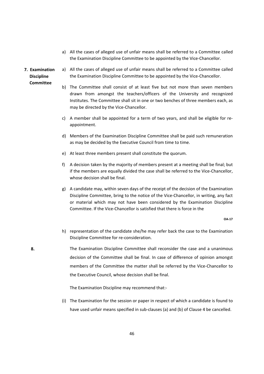- a) All the cases of alleged use of unfair means shall be referred to a Committee called the Examination Discipline Committee to be appointed by the Vice‐Chancellor.
- **7. Examination Discipline Committee**

**8.**

- a) All the cases of alleged use of unfair means shall be referred to a Committee called the Examination Discipline Committee to be appointed by the Vice‐Chancellor.
	- b) The Committee shall consist of at least five but not more than seven members drawn from amongst the teachers/officers of the University and recognized Institutes. The Committee shall sit in one or two benches of three members each, as may be directed by the Vice‐Chancellor.
	- c) A member shall be appointed for a term of two years, and shall be eligible for re‐ appointment.
	- d) Members of the Examination Discipline Committee shall be paid such remuneration as may be decided by the Executive Council from time to time.
	- e) At least three members present shall constitute the quorum.
	- f) A decision taken by the majority of members present at a meeting shall be final; but if the members are equally divided the case shall be referred to the Vice‐Chancellor, whose decision shall be final.
	- g) A candidate may, within seven days of the receipt of the decision of the Examination Discipline Committee, bring to the notice of the Vice‐Chancellor, in writing, any fact or material which may not have been considered by the Examination Discipline Committee. If the Vice‐Chancellor is satisfied that there is force in the

**OA‐17**

- h) representation of the candidate she/he may refer back the case to the Examination Discipline Committee for re‐consideration.
- The Examination Discipline Committee shall reconsider the case and a unanimous decision of the Committee shall be final. In case of difference of opinion amongst members of the Committee the matter shall be referred by the Vice‐Chancellor to the Executive Council, whose decision shall be final.

The Examination Discipline may recommend that:‐

(i) The Examination for the session or paper in respect of which a candidate is found to have used unfair means specified in sub-clauses (a) and (b) of Clause 4 be cancelled.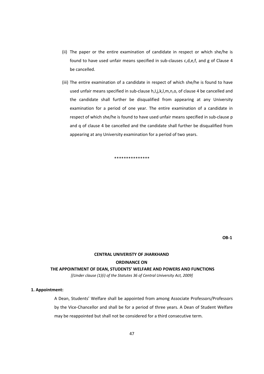- (ii) The paper or the entire examination of candidate in respect or which she/he is found to have used unfair means specified in sub‐clauses c,d,e,f, and g of Clause 4 be cancelled.
- (iii) The entire examination of a candidate in respect of which she/he is found to have used unfair means specified in sub-clause h,l,j,k,l,m,n,o, of clause 4 be cancelled and the candidate shall further be disqualified from appearing at any University examination for a period of one year. The entire examination of a candidate in respect of which she/he is found to have used unfair means specified in sub-clause p and q of clause 4 be cancelled and the candidate shall further be disqualified from appearing at any University examination for a period of two years.

\*\*\*\*\*\*\*\*\*\*\*\*\*\*\*

**OB‐1**

# **CENTRAL UNIVERISTY OF JHARKHAND ORDINANCE ON**

## **THE APPOINTMENT OF DEAN, STUDENTS' WELFARE AND POWERS AND FUNCTIONS**

*[(Under clause (1)(i) of the Statutes 36 of Central University Act, 2009]*

## **1. Appointment:**

A Dean, Students' Welfare shall be appointed from among Associate Professors/Professors by the Vice‐Chancellor and shall be for a period of three years. A Dean of Student Welfare may be reappointed but shall not be considered for a third consecutive term.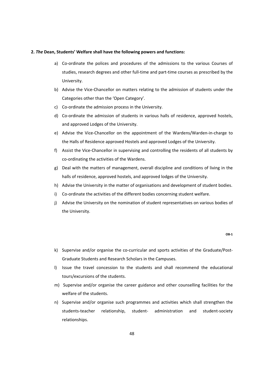#### **2.** *The* **Dean, Students' Welfare shall have the following powers and functions:**

- a) Co-ordinate the polices and procedures of the admissions to the various Courses of studies, research degrees and other full-time and part-time courses as prescribed by the University.
- b) Advise the Vice‐Chancellor on matters relating to the admission of students under the Categories other than the 'Open Category'.
- c) Co‐ordinate the admission process in the University.
- d) Co-ordinate the admission of students in various halls of residence, approved hostels, and approved Lodges of the University.
- e) Advise the Vice‐Chancellor on the appointment of the Wardens/Warden‐in‐charge to the Halls of Residence approved Hostels and approved Lodges of the University.
- f) Assist the Vice‐Chancellor in supervising and controlling the residents of all students by co‐ordinating the activities of the Wardens.
- g) Deal with the matters of management, overall discipline and conditions of living in the halls of residence, approved hostels, and approved lodges of the University.
- h) Advise the University in the matter of organisations and development of student bodies.
- i) Co-ordinate the activities of the different bodies concerning student welfare.
- j) Advise the University on the nomination of student representatives on various bodies of the University.

**OB‐1**

- k) Supervise and/or organise the co-curricular and sports activities of the Graduate/Post-Graduate Students and Research Scholars in the Campuses.
- l) Issue the travel concession to the students and shall recommend the educational tours/excursions of the students.
- m) Supervise and/or organise the career guidance and other counselling facilities for the welfare of the students.
- n) Supervise and/or organise such programmes and activities which shall strengthen the students-teacher relationship, student- administration and student-society relationships.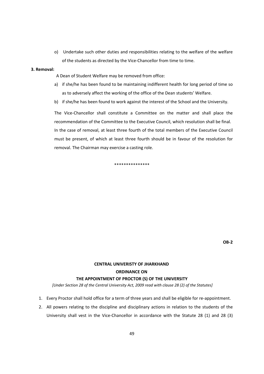o) Undertake such other duties and responsibilities relating to the welfare of the welfare of the students as directed by the Vice‐Chancellor from time to time.

#### **3. Removal:**

- A Dean of Student Welfare may be removed from office:
- a) if she/he has been found to be maintaining indifferent health for long period of time so as to adversely affect the working of the office of the Dean students' Welfare.
- b) if she/he has been found to work against the interest of the School and the University.

The Vice-Chancellor shall constitute a Committee on the matter and shall place the recommendation of the Committee to the Executive Council, which resolution shall be final. In the case of removal, at least three fourth of the total members of the Executive Council must be present, of which at least three fourth should be in favour of the resolution for removal. The Chairman may exercise a casting role.

\*\*\*\*\*\*\*\*\*\*\*\*\*\*\*

**OB‐2**

# **CENTRAL UNIVERISTY OF JHARKHAND ORDINANCE ON THE APPOINTMENT OF PROCTOR (S) OF THE UNIVERSITY**

*[Under Section 28 of the Central University Act, 2009 read with clause 28 (2) of the Statutes]*

- 1. Every Proctor shall hold office for a term of three years and shall be eligible for re-appointment.
- 2. All powers relating to the discipline and disciplinary actions in relation to the students of the University shall vest in the Vice-Chancellor in accordance with the Statute 28 (1) and 28 (3)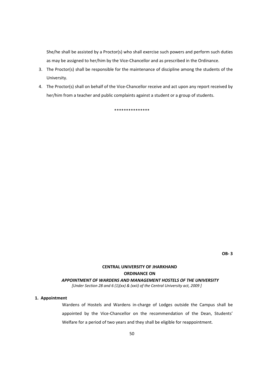She/he shall be assisted by a Proctor(s) who shall exercise such powers and perform such duties as may be assigned to her/him by the Vice-Chancellor and as prescribed in the Ordinance.

- 3. The Proctor(s) shall be responsible for the maintenance of discipline among the students of the University.
- 4. The Proctor(s) shall on behalf of the Vice-Chancellor receive and act upon any report received by her/him from a teacher and public complaints against a student or a group of students.

\*\*\*\*\*\*\*\*\*\*\*\*\*\*\*

## **CENTRAL UNIVERSITY OF JHARKHAND ORDINANCE ON** *APPOINTMENT OF WARDENS AND MANAGEMENT HOSTELS OF THE UNIVERSITY*

*[Under Section 28 and 6 (1)(xx) & (xxii) of the Central University act, 2009 ]*

#### **1. Appointment**

Wardens of Hostels and Wardens in‐charge of Lodges outside the Campus shall be appointed by the Vice-Chancellor on the recommendation of the Dean, Students' Welfare for a period of two years and they shall be eligible for reappointment.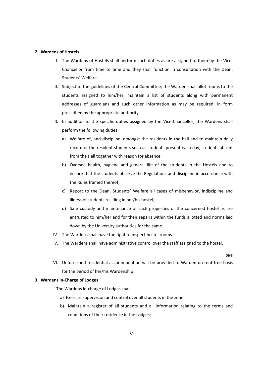### **2. Wardens of Hostels**

- I. The Wardens of Hostels shall perform such duties as are assigned to them by the Vice‐ Chancellor from time to time and they shall function in consultation with the Dean, Students' Welfare.
- II. Subject to the guidelines of the Central Committee, the Warden shall allot rooms to the students assigned to him/her, maintain a list of students along with permanent addresses of guardians and such other information as may be required, in form prescribed by the appropriate authority.
- III. In addition to the specific duties assigned by the Vice‐Chancellor, the Wardens shall perform the following duties:
	- a) Welfare of, and discipline, amongst the residents in the hall and to maintain daily record of the resident students such as students present each day, students absent from the Hall together with reason for absence;
	- b) Oversee health, hygiene and general life of the students in the Hostels and to ensure that the students observe the Regulations and discipline in accordance with the Rules framed thereof;
	- c) Report to the Dean, Students' Welfare all cases of misbehavior, indiscipline and illness of students residing in her/his hostel;
	- d) Safe custody and maintenance of such properties of the concerned hostel as are entrusted to him/her and for their repairs within the funds allotted and norms laid down by the University authorities for the same.
- IV. The Wardens shall have the right to inspect hostel rooms.
- V. The Wardens shall have administrative control over the staff assigned to the hostel.

**OB‐3**

VI. Unfurnished residential accommodation will be provided to Warden on rent‐free basis for the period of her/his Wardenship .

### **3. Wardens in‐Charge of Lodges**

The Wardens In‐charge of Lodges shall:

- a) Exercise supervision and control over all students in the zone;
- b) Maintain a register of all students and all information relating to the terms and conditions of their residence in the Lodges;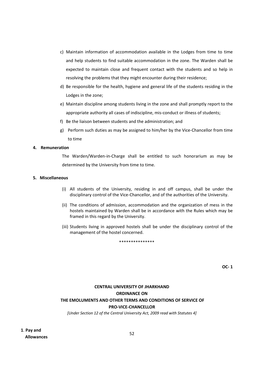- c) Maintain information of accommodation available in the Lodges from time to time and help students to find suitable accommodation in the zone. The Warden shall be expected to maintain close and frequent contact with the students and so help in resolving the problems that they might encounter during their residence;
- d) Be responsible for the health, hygiene and general life of the students residing in the Lodges in the zone;
- e) Maintain discipline among students living in the zone and shall promptly report to the appropriate authority all cases of indiscipline, mis‐conduct or illness of students;
- f) Be the liaison between students and the administration; and
- g) Perform such duties as may be assigned to him/her by the Vice‐Chancellor from time to time

### **4. Remuneration**

The Warden/Warden‐in‐Charge shall be entitled to such honorarium as may be determined by the University from time to time.

## **5. Miscellaneous**

- (i) All students of the University, residing in and off campus, shall be under the disciplinary control of the Vice‐Chancellor, and of the authorities of the University.
- (ii) The conditions of admission, accommodation and the organization of mess in the hostels maintained by Warden shall be in accordance with the Rules which may be framed in this regard by the University.
- (iii) Students living in approved hostels shall be under the disciplinary control of the management of the hostel concerned.

\*\*\*\*\*\*\*\*\*\*\*\*\*\*\*

**OC‐ 1**

## **CENTRAL UNIVERSITY OF JHARKHAND ORDINANCE ON THE EMOLUMENTS AND OTHER TERMS AND CONDITIONS OF SERVICE OF PRO‐VICE‐CHANCELLOR**

*[Under Section 12 of the Central University Act, 2009 read with Statutes 4]*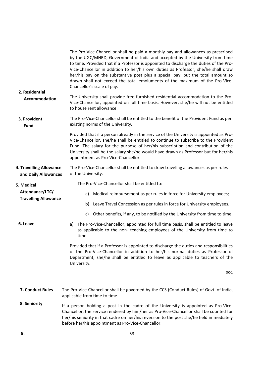| 2. Residential<br>Accommodation                              | The Pro-Vice-Chancellor shall be paid a monthly pay and allowances as prescribed<br>by the UGC/MHRD, Government of India and accepted by the University from time<br>to time. Provided that if a Professor is appointed to discharge the duties of the Pro-<br>Vice-Chancellor in addition to her/his own duties as Professor, she/he shall draw<br>her/his pay on the substantive post plus a special pay, but the total amount so<br>drawn shall not exceed the total emoluments of the maximum of the Pro-Vice-<br>Chancellor's scale of pay. |
|--------------------------------------------------------------|--------------------------------------------------------------------------------------------------------------------------------------------------------------------------------------------------------------------------------------------------------------------------------------------------------------------------------------------------------------------------------------------------------------------------------------------------------------------------------------------------------------------------------------------------|
|                                                              | The University shall provide free furnished residential accommodation to the Pro-<br>Vice-Chancellor, appointed on full time basis. However, she/he will not be entitled<br>to house rent allowance.                                                                                                                                                                                                                                                                                                                                             |
| 3. Provident<br><b>Fund</b>                                  | The Pro-Vice-Chancellor shall be entitled to the benefit of the Provident Fund as per<br>existing norms of the University.                                                                                                                                                                                                                                                                                                                                                                                                                       |
|                                                              | Provided that if a person already in the service of the University is appointed as Pro-<br>Vice-Chancellor, she/he shall be entitled to continue to subscribe to the Provident<br>Fund. The salary for the purpose of her/his subscription and contribution of the<br>University shall be the salary she/he would have drawn as Professor but for her/his<br>appointment as Pro-Vice-Chancellor.                                                                                                                                                 |
| <b>4. Travelling Allowance</b><br>and Daily Allowances       | The Pro-Vice-Chancellor shall be entitled to draw traveling allowances as per rules<br>of the University.                                                                                                                                                                                                                                                                                                                                                                                                                                        |
| 5. Medical<br>Attendance/LTC/<br><b>Travelling Allowance</b> | The Pro-Vice-Chancellor shall be entitled to:                                                                                                                                                                                                                                                                                                                                                                                                                                                                                                    |
|                                                              | Medical reimbursement as per rules in force for University employees;<br>a)                                                                                                                                                                                                                                                                                                                                                                                                                                                                      |
|                                                              | Leave Travel Concession as per rules in force for University employees.<br>b)                                                                                                                                                                                                                                                                                                                                                                                                                                                                    |
|                                                              | Other benefits, if any, to be notified by the University from time to time.<br>c)                                                                                                                                                                                                                                                                                                                                                                                                                                                                |
| 6. Leave                                                     | The Pro-Vice-Chancellor, appointed for full time basis, shall be entitled to leave<br>a)<br>as applicable to the non- teaching employees of the University from time to<br>time.                                                                                                                                                                                                                                                                                                                                                                 |
|                                                              | Provided that if a Professor is appointed to discharge the duties and responsibilities<br>of the Pro-Vice-Chancellor in addition to her/his normal duties as Professor of<br>Department, she/he shall be entitled to leave as applicable to teachers of the<br>University.                                                                                                                                                                                                                                                                       |
|                                                              | $OC-1$                                                                                                                                                                                                                                                                                                                                                                                                                                                                                                                                           |
| 7. Conduct Rules                                             | The Pro-Vice-Chancellor shall be governed by the CCS (Conduct Rules) of Govt. of India,<br>applicable from time to time.                                                                                                                                                                                                                                                                                                                                                                                                                         |
| 8. Seniority                                                 | If a person holding a post in the cadre of the University is appointed as Pro-Vice-<br>Chancellor, the service rendered by him/her as Pro-Vice-Chancellor shall be counted for<br>her/his seniority in that cadre on her/his reversion to the post she/he held immediately<br>before her/his appointment as Pro-Vice-Chancellor.                                                                                                                                                                                                                 |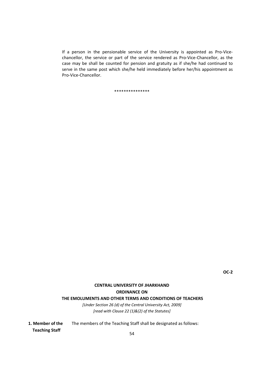If a person in the pensionable service of the University is appointed as Pro-Vicechancellor, the service or part of the service rendered as Pro‐Vice‐Chancellor, as the case may be shall be counted for pension and gratuity as if she/he had continued to serve in the same post which she/he held immediately before her/his appointment as Pro‐Vice‐Chancellor.

\*\*\*\*\*\*\*\*\*\*\*\*\*\*\*

# **CENTRAL UNIVERSITY OF JHARKHAND ORDINANCE ON**

**THE EMOLUMENTS AND OTHER TERMS AND CONDITIONS OF TEACHERS**

*[Under Section 26 (d) of the Central University Act, 2009] [read with Clause 22 (1)&(2) of the Statutes]*

**1. Member of the**  The members of the Teaching Staff shall be designated as follows:  **Teaching Staff**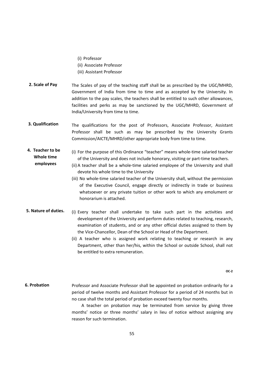(i) Professor

 **employees**

- (ii) Associate Professor
- (iii) Assistant Professor
- The Scales of pay of the teaching staff shall be as prescribed by the UGC/MHRD, Government of India from time to time and as accepted by the University. In addition to the pay scales, the teachers shall be entitled to such other allowances, facilities and perks as may be sanctioned by the UGC/MHRD, Government of India/University from time to time. **2. Scale of Pay**
- The qualifications for the post of Professors, Associate Professor, Assistant Professor shall be such as may be prescribed by the University Grants Commission/AICTE/MHRD/other appropriate body from time to time. **3. Qualification**
- (i) For the purpose of this Ordinance "teacher" means whole‐time salaried teacher of the University and does not include honorary, visiting or part-time teachers. **4. Teacher to be Whole time** 
	- (ii) A teacher shall be a whole-time salaried employee of the University and shall devote his whole time to the University
		- (iii) No whole‐time salaried teacher of the University shall, without the permission of the Executive Council, engage directly or indirectly in trade or business whatsoever or any private tuition or other work to which any emolument or honorarium is attached.
- (i) Every teacher shall undertake to take such part in the activities and development of the University and perform duties related to teaching, research, examination of students, and or any other official duties assigned to them by the Vice‐Chancellor, Dean of the School or Head of the Department. **5. Nature of duties.**
	- (ii) A teacher who is assigned work relating to teaching or research in any Department, other than her/his, within the School or outside School, shall not be entitled to extra remuneration.

**OC‐2**

Professor and Associate Professor shall be appointed on probation ordinarily for a period of twelve months and Assistant Professor for a period of 24 months but in no case shall the total period of probation exceed twenty four months. **6. Probation**

> A teacher on probation may be terminated from service by giving three months' notice or three months' salary in lieu of notice without assigning any reason for such termination.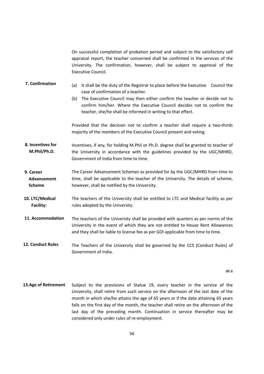On successful completion of probation period and subject to the satisfactory self appraisal report, the teacher concerned shall be confirmed in the services of the University. The confirmation, however, shall be subject to approval of the Executive Council.

- (a) It shall be the duty of the Registrar to place before the Executive Council the case of confirmation of a teacher. **7. Confirmation**
	- (b) The Executive Council may then either confirm the teacher or decide not to confirm him/her. Where the Executive Council decides not to confirm the teacher, she/he shall be informed in writing to that effect.

Provided that the decision not to confirm a teacher shall require a two-thirds majority of the members of the Executive Council present and voting.

- Incentives, if any, for holding M.Phil or Ph.D. degree shall be granted to teacher of the University in accordance with the guidelines provided by the UGC/MHRD, Government of India from time to time. **8. Incentives for M.Phil/Ph.D.**
- The Career Advancement Schemes as provided for by the UGC/MHRD from time to time, shall be applicable to the teacher of the University. The details of scheme, however, shall be notified by the University. **9. Career Advancement Scheme**
- The teachers of the University shall be entitled to LTC and Medical facility as per rules adopted by the University. **10. LTC/Medical Facility:**
- The teachers of the University shall be provided with quarters as per norms of the University in the event of which they are not entitled to House Rent Allowances and they shall be liable to license fee as per GOI applicable from time to time. **11. Accommodation**
- The Teachers of the University shall be governed by the CCS (Conduct Rules) of Government of India. **12. Conduct Rules**

**OC‐2**

Subject to the provisions of Statue 19, every teacher in the service of the University, shall retire from such service on the afternoon of the last date of the month in which she/he attains the age of 65 years or if the date attaining 65 years falls on the first day of the month, the teacher shall retire on the afternoon of the last day of the preceding month. Continuation in service thereafter may be considered only under rules of re‐employment. **13.Age of Retirement**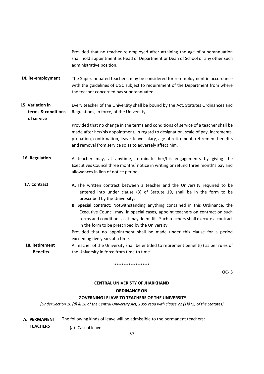Provided that no teacher re‐employed after attaining the age of superannuation shall hold appointment as Head of Department or Dean of School or any other such administrative position.

- The Superannuated teachers, may be considered for re‐employment in accordance with the guidelines of UGC subject to requirement of the Department from where the teacher concerned has superannuated. **14. Re‐employment**
- Every teacher of the University shall be bound by the Act, Statutes Ordinances and Regulations, in force, of the University. **15. Variation in terms & conditions**

Provided that no change in the terms and conditions of service of a teacher shall be made after her/his appointment, in regard to designation, scale of pay, increments, probation, confirmation, leave, leave salary, age of retirement, retirement benefits and removal from service so as to adversely affect him.

- A teacher may, at anytime, terminate her/his engagements by giving the Executives Council three months' notice in writing or refund three month's pay and allowances in lien of notice period. **16. Regulation**
- **A.** The written contract between a teacher and the University required to be entered into under clause (3) of Statute 19, shall be in the form to be prescribed by the University. **17. Contract**
	- **B. Special contract**: Notwithstanding anything contained in this Ordinance, the Executive Council may, in special cases, appoint teachers on contract on such terms and conditions as it may deem fit. Such teachers shall execute a contract in the form to be prescribed by the University.

Provided that no appointment shall be made under this clause for a period exceeding five years at a time.

A Teacher of the University shall be entitled to retirement benefit(s) as per rules of the University in force from time to time. **18. Retirement Benefits**

#### \*\*\*\*\*\*\*\*\*\*\*\*\*\*\*

**OC‐ 3**

#### **CENTRAL UNIVERISTY OF JHARKHAND**

### **ORDINANCE ON**

### **GOVERNING LELAVE TO TEACHERS OF THE UNIVERSITY**

[Under Section 26 (d) & 28 of the Central University Act, 2009 read with clause 22 (1)&(2) of the Statutes]

The following kinds of leave will be admissible to the permanent teachers: **A. PERMANENT**

 **TEACHERS**

 **of service**

(a) Casual leave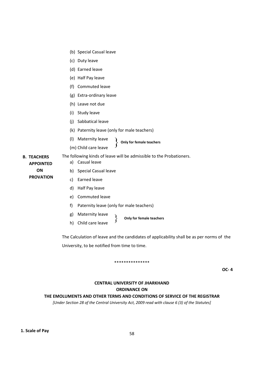- (b) Special Casual leave
- (c) Duty leave
- (d) Earned leave
- (e) Half Pay leave
- (f) Commuted leave
- (g) Extra‐ordinary leave
- (h) Leave not due
- (i) Study leave
- (j) Sabbatical leave
- (k) Paternity leave (only for male teachers)

The following kinds of leave will be admissible to the Probationers.

- (l) Maternity leave **Only for female teachers**  $\left\{ \right.$
- (m) Child care leave

**B. TEACHERS APPOINTED ON PROVATION**

- b) Special Casual leave
- c) Earned leave

a) Casual leave

- d) Half Pay leave
- e) Commuted leave
- f) Paternity leave (only for male teachers)
- g) Maternity leave
- h) Child care leave **Only for female teachers**

The Calculation of leave and the candidates of applicability shall be as per norms of the University, to be notified from time to time.

## \*\*\*\*\*\*\*\*\*\*\*\*\*\*\*

**OC‐ 4**

# **CENTRAL UNIVERSITY OF JHARKHAND ORDINANCE ON**

## **THE EMOLUMENTS AND OTHER TERMS AND CONDITIONS OF SERVICE OF THE REGISTRAR**

*[Under Section 28 of the Central University Act, 2009 read with clause 6 (3) of the Statutes]*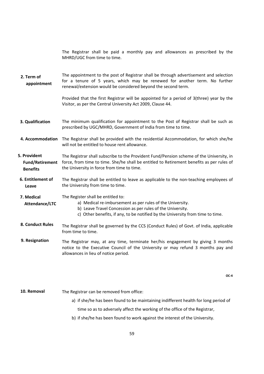The Registrar shall be paid a monthly pay and allowances as prescribed by the MHRD/UGC from time to time.

The appointment to the post of Registrar shall be through advertisement and selection for a tenure of 5 years, which may be renewed for another term. No further renewal/extension would be considered beyond the second term. **2. Term of appointment**

> Provided that the first Registrar will be appointed for a period of 3(three) year by the Visitor, as per the Central University Act 2009, Clause 44.

- The minimum qualification for appointment to the Post of Registrar shall be such as prescribed by UGC/MHRD, Government of India from time to time. **3. Qualification**
- The Registrar shall be provided with the residential Accommodation, for which she/he will not be entitled to house rent allowance. **4. Accommodation**
- The Registrar shall subscribe to the Provident Fund/Pension scheme of the University, in force, from time to time. She/he shall be entitled to Retirement benefits as per rules of the University in force from time to time. **5. Provident Fund/Retirement Benefits**
- The Registrar shall be entitled to leave as applicable to the non-teaching employees of the University from time to time. **6. Entitlement of Leave**
- The Register shall be entitled to: **7. Medical**
- **Attendance/LTC**

a) Medical re-imbursement as per rules of the University.

- b) Leave Travel Concession as per rules of the University.
	- c) Other benefits, if any, to be notified by the University from time to time.
- The Registrar shall be governed by the CCS (Conduct Rules) of Govt. of India, applicable from time to time. **8. Conduct Rules**
- The Registrar may, at any time, terminate her/his engagement by giving 3 months notice to the Executive Council of the University or may refund 3 months pay and allowances in lieu of notice period. **9. Resignation**

**OC‐4**

- **10. Removal**
- The Registrar can be removed from office:
	- a) if she/he has been found to be maintaining indifferent health for long period of time so as to adversely affect the working of the office of the Registrar,
	- b) if she/he has been found to work against the interest of the University.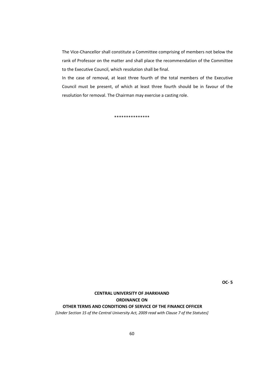The Vice‐Chancellor shall constitute a Committee comprising of members not below the rank of Professor on the matter and shall place the recommendation of the Committee to the Executive Council, which resolution shall be final.

In the case of removal, at least three fourth of the total members of the Executive Council must be present, of which at least three fourth should be in favour of the resolution for removal. The Chairman may exercise a casting role.

\*\*\*\*\*\*\*\*\*\*\*\*\*\*\*

**OC‐ 5**

# **CENTRAL UNIVERSITY OF JHARKHAND ORDINANCE ON OTHER TERMS AND CONDITIONS OF SERVICE OF THE FINANCE OFFICER**

*[Under Section 15 of the Central University Act, 2009 read with Clause 7 of the Statutes]*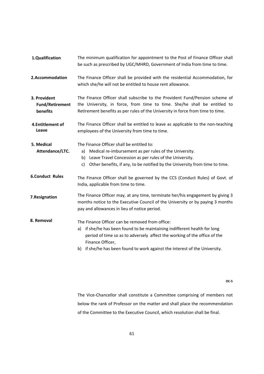- The minimum qualification for appointment to the Post of Finance Officer shall be such as prescribed by UGC/MHRD, Government of India from time to time. **1.Qualification**
- The Finance Officer shall be provided with the residential Accommodation, for which she/he will not be entitled to house rent allowance. **2.Accommodation**
- The Finance Officer shall subscribe to the Provident Fund/Pension scheme of the University, in force, from time to time. She/he shall be entitled to Retirement benefits as per rules of the University in force from time to time. **3. Provident Fund/Retirement benefits**
- The Finance Officer shall be entitled to leave as applicable to the non-teaching employees of the University from time to time. **4.Entitlement of Leave**
- **5. Medical Attendance/LTC.**

The Finance Officer shall be entitled to:

- a) Medical re-imbursement as per rules of the University.
	- b) Leave Travel Concession as per rules of the University.
	- c) Other benefits, if any, to be notified by the University from time to time.
- The Finance Officer shall be governed by the CCS (Conduct Rules) of Govt. of India, applicable from time to time. **6.Conduct Rules**
- The Finance Officer may, at any time, terminate her/his engagement by giving 3 months notice to the Executive Council of the University or by paying 3 months pay and allowances in lieu of notice period. **7.Resignation**

The Finance Officer can be removed from office: **8. Removal**

- a) if she/he has been found to be maintaining indifferent health for long period of time so as to adversely affect the working of the office of the Finance Officer,
- b) if she/he has been found to work against the interest of the University.

**OC‐5**

The Vice‐Chancellor shall constitute a Committee comprising of members not below the rank of Professor on the matter and shall place the recommendation of the Committee to the Executive Council, which resolution shall be final.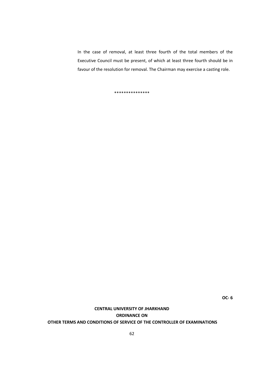In the case of removal, at least three fourth of the total members of the Executive Council must be present, of which at least three fourth should be in favour of the resolution for removal. The Chairman may exercise a casting role.

\*\*\*\*\*\*\*\*\*\*\*\*\*\*\*

**OC‐ 6**

# **CENTRAL UNIVERSITY OF JHARKHAND ORDINANCE ON OTHER TERMS AND CONDITIONS OF SERVICE OF THE CONTROLLER OF EXAMINATIONS**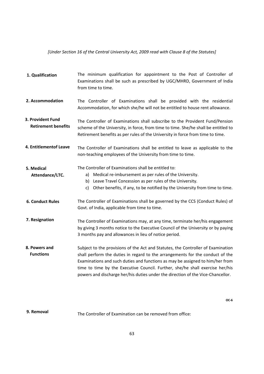## *[Under Section 16 of the Central University Act, 2009 read with Clause 8 of the Statutes]*

| 1. Qualification                                | The minimum qualification for appointment to the Post of Controller of<br>Examinations shall be such as prescribed by UGC/MHRD, Government of India<br>from time to time.                                                                                                                                                                                                                                              |
|-------------------------------------------------|------------------------------------------------------------------------------------------------------------------------------------------------------------------------------------------------------------------------------------------------------------------------------------------------------------------------------------------------------------------------------------------------------------------------|
| 2. Accommodation                                | The Controller of Examinations shall be provided with the residential<br>Accommodation, for which she/he will not be entitled to house rent allowance.                                                                                                                                                                                                                                                                 |
| 3. Provident Fund<br><b>Retirement benefits</b> | The Controller of Examinations shall subscribe to the Provident Fund/Pension<br>scheme of the University, in force, from time to time. She/he shall be entitled to<br>Retirement benefits as per rules of the University in force from time to time.                                                                                                                                                                   |
| 4. Entitlementof Leave                          | The Controller of Examinations shall be entitled to leave as applicable to the<br>non-teaching employees of the University from time to time.                                                                                                                                                                                                                                                                          |
| 5. Medical<br>Attendance/LTC.                   | The Controller of Examinations shall be entitled to:<br>a) Medical re-imbursement as per rules of the University.<br>b) Leave Travel Concession as per rules of the University.<br>Other benefits, if any, to be notified by the University from time to time.<br>C)                                                                                                                                                   |
| <b>6. Conduct Rules</b>                         | The Controller of Examinations shall be governed by the CCS (Conduct Rules) of<br>Govt. of India, applicable from time to time.                                                                                                                                                                                                                                                                                        |
| 7. Resignation                                  | The Controller of Examinations may, at any time, terminate her/his engagement<br>by giving 3 months notice to the Executive Council of the University or by paying<br>3 months pay and allowances in lieu of notice period.                                                                                                                                                                                            |
| 8. Powers and<br><b>Functions</b>               | Subject to the provisions of the Act and Statutes, the Controller of Examination<br>shall perform the duties in regard to the arrangements for the conduct of the<br>Examinations and such duties and functions as may be assigned to him/her from<br>time to time by the Executive Council. Further, she/he shall exercise her/his<br>powers and discharge her/his duties under the direction of the Vice-Chancellor. |

**OC‐6**

#### The Controller of Examination can be removed from office: **9. Removal**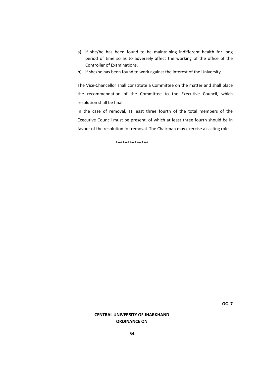- a) if she/he has been found to be maintaining indifferent health for long period of time so as to adversely affect the working of the office of the Controller of Examinations.
- b) if she/he has been found to work against the interest of the University.

The Vice‐Chancellor shall constitute a Committee on the matter and shall place the recommendation of the Committee to the Executive Council, which resolution shall be final.

In the case of removal, at least three fourth of the total members of the Executive Council must be present, of which at least three fourth should be in favour of the resolution for removal. The Chairman may exercise a casting role.

\*\*\*\*\*\*\*\*\*\*\*\*\*\*

## **CENTRAL UNIVERSITY OF JHARKHAND ORDINANCE ON**

**OC‐ 7**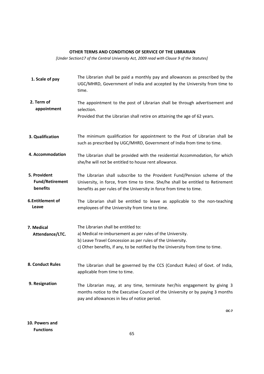### **OTHER TERMS AND CONDITIONS OF SERVICE OF THE LIBRARIAN**

*[Under Section17 of the Central University Act, 2009 read with Clause 9 of the Statutes]*

The Librarian shall be paid a monthly pay and allowances as prescribed by the UGC/MHRD, Government of India and accepted by the University from time to time. The appointment to the post of Librarian shall be through advertisement and selection. Provided that the Librarian shall retire on attaining the age of 62 years. The minimum qualification for appointment to the Post of Librarian shall be such as prescribed by UGC/MHRD, Government of India from time to time. The Librarian shall be provided with the residential Accommodation, for which she/he will not be entitled to house rent allowance. The Librarian shall subscribe to the Provident Fund/Pension scheme of the University, in force, from time to time. She/he shall be entitled to Retirement benefits as per rules of the University in force from time to time. The Librarian shall be entitled to leave as applicable to the non-teaching employees of the University from time to time. The Librarian shall be entitled to: a) Medical re-imbursement as per rules of the University. b) Leave Travel Concession as per rules of the University. c) Other benefits, if any, to be notified by the University from time to time. The Librarian shall be governed by the CCS (Conduct Rules) of Govt. of India, applicable from time to time. The Librarian may, at any time, terminate her/his engagement by giving 3 months notice to the Executive Council of the University or by paying 3 months pay and allowances in lieu of notice period. **OC‐7 1. Scale of pay 2. Term of appointment 3. Qualification 4. Accommodation 5. Provident Fund/Retirement benefits 6.Entitlement of Leave 7. Medical Attendance/LTC. 8. Conduct Rules 9. Resignation**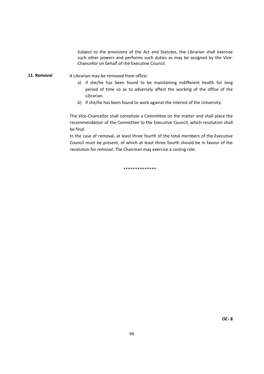Subject to the provisions of the Act and Statutes, the Librarian shall exercise such other powers and performs such duties as may be assigned by the Vice-Chancellor on behalf of the Executive Council.

A Librarian may be removed from office: **11. Removal**

- a) if she/he has been found to be maintaining indifferent health for long period of time so as to adversely affect the working of the office of the Librarian.
- b) if she/he has been found to work against the interest of the University.

The Vice‐Chancellor shall constitute a Committee on the matter and shall place the recommendation of the Committee to the Executive Council, which resolution shall be final.

In the case of removal, at least three fourth of the total members of the Executive Council must be present, of which at least three fourth should be in favour of the resolution for removal. The Chairman may exercise a casting role.

\*\*\*\*\*\*\*\*\*\*\*\*\*\*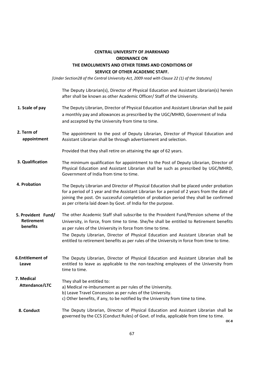## **CENTRAL UNIVERSITY OF JHARKHAND ORDINANCE ON THE EMOLUMENTS AND OTHER TERMS AND CONDITIONS OF SERVICE OF OTHER ACADEMIC STAFF.**

*[Under Section28 of the Central University Act, 2009 read with Clause 22 (1) of the Statutes]*

The Deputy Librarian(s), Director of Physical Education and Assistant Librarian(s) herein after shall be known as other Academic Officer/ Staff of the University.

- The Deputy Librarian, Director of Physical Education and Assistant Librarian shall be paid a monthly pay and allowances as prescribed by the UGC/MHRD, Government of India and accepted by the University from time to time. **1. Scale of pay**
- The appointment to the post of Deputy Librarian, Director of Physical Education and Assistant Librarian shall be through advertisement and selection. **2. Term of appointment**

Provided that they shall retire on attaining the age of 62 years.

- The minimum qualification for appointment to the Post of Deputy Librarian, Director of Physical Education and Assistant Librarian shall be such as prescribed by UGC/MHRD, Government of India from time to time. **3. Qualification**
- The Deputy Librarian and Director of Physical Education shall be placed under probation for a period of 1 year and the Assistant Librarian for a period of 2 years from the date of joining the post. On successful completion of probation period they shall be confirmed as per criteria laid down by Govt. of India for the purpose. **4. Probation**
- The other Academic Staff shall subscribe to the Provident Fund/Pension scheme of the University, in force, from time to time. She/he shall be entitled to Retirement benefits as per rules of the University in force from time to time. The Deputy Librarian, Director of Physical Education and Assistant Librarian shall be **5. Provident Fund/ Retirement benefits**

entitled to retirement benefits as per rules of the University in force from time to time.

The Deputy Librarian, Director of Physical Education and Assistant Librarian shall be entitled to leave as applicable to the non-teaching employees of the University from time to time. **6.Entitlement of Leave**

- They shall be entitled to: a) Medical re-imbursement as per rules of the University. b) Leave Travel Concession as per rules of the University. c) Other benefits, if any, to be notified by the University from time to time. **7. Medical Attendance/LTC**
- The Deputy Librarian, Director of Physical Education and Assistant Librarian shall be governed by the CCS (Conduct Rules) of Govt. of India, applicable from time to time. **8. Conduct**

**OC‐8**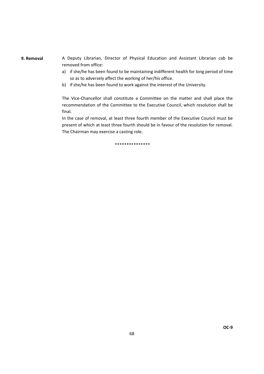#### **9. Removal**

A Deputy Librarian, Director of Physical Education and Assistant Librarian cab be removed from office:

- a) if she/he has been found to be maintaining indifferent health for long period of time so as to adversely affect the working of her/his office.
- b) if she/he has been found to work against the interest of the University.

The Vice-Chancellor shall constitute a Committee on the matter and shall place the recommendation of the Committee to the Executive Council, which resolution shall be final.

In the case of removal, at least three fourth member of the Executive Council must be present of which at least three fourth should be in favour of the resolution for removal. The Chairman may exercise a casting role.

\*\*\*\*\*\*\*\*\*\*\*\*\*\*\*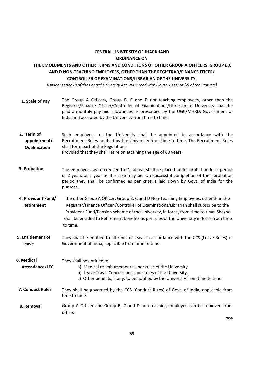## **CENTRAL UNIVERSITY OF JHARKHAND ORDINANCE ON**

## **THE EMOLUMENTS AND OTHER TERMS AND CONDITIONS OF OTHER GROUP A OFFICERS, GROUP B,C AND D NON‐TEACHING EMPLOYEES, OTHER THAN THE REGISTRAR/FINANCE FFICER/ CONTROLLER OF EXAMINATIONS/LIBRARIAN OF THE UNIVERSITY.**

[Under Section28 of the Central University Act, 2009 read with Clause 23 (1) or (2) of the Statutes]

- The Group A Officers, Group B, C and D non-teaching employees, other than the Registrar/Finance Officer/Controller of Examinations/Librarian of University shall be paid a monthly pay and allowances as prescribed by the UGC/MHRD, Government of India and accepted by the University from time to time. **1. Scale of Pay**
- Such employees of the University shall be appointed in accordance with the Recruitment Rules notified by the University from time to time. The Recruitment Rules shall form part of the Regulations. **2. Term of appointment/ Qualification**

Provided that they shall retire on attaining the age of 60 years.

- The employees as referenced to (1) above shall be placed under probation for a period of 2 years or 1 year as the case may be. On successful completion of their probation period they shall be confirmed as per criteria laid down by Govt. of India for the purpose. **3. Probation**
- The other Group A Officer, Group B, C and D Non‐Teaching Employees, other than the Registrar/Finance Officer /Controller of Examinations/Librarian shall subscribe to the Provident Fund/Pension scheme of the University, in force, from time to time. She/he shall be entitled to Retirement benefits as per rules of the University in force from time to time.  **4. Provident Fund/ Retirement**
- They shall be entitled to all kinds of leave in accordance with the CCS (Leave Rules) of Government of India, applicable from time to time. **5. Entitlement of Leave**

 They shall be entitled to: **6. Medical** 

 **Attendance/LTC**

a) Medical re-imbursement as per rules of the University.

- b) Leave Travel Concession as per rules of the University.
- c) Other benefits, if any, to be notified by the University from time to time.
- They shall be governed by the CCS (Conduct Rules) of Govt. of India, applicable from time to time. **7. Conduct Rules**

Group A Officer and Group B, C and D non-teaching employee cab be removed from office: **8. Removal**

**OC‐9**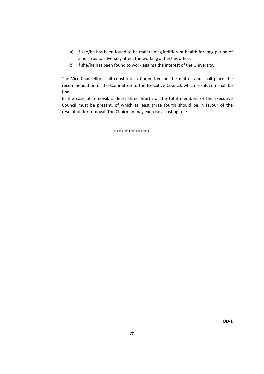- a) if she/he has been found to be maintaining indifferent health for long period of time so as to adversely affect the working of her/his office.
- b) if she/he has been found to work against the interest of the University.

The Vice-Chancellor shall constitute a Committee on the matter and shall place the recommendation of the Committee to the Executive Council, which resolution shall be final.

In the case of removal, at least three fourth of the total members of the Executive Council must be present, of which at least three fourth should be in favour of the resolution for removal. The Chairman may exercise a casting role.

\*\*\*\*\*\*\*\*\*\*\*\*\*\*\*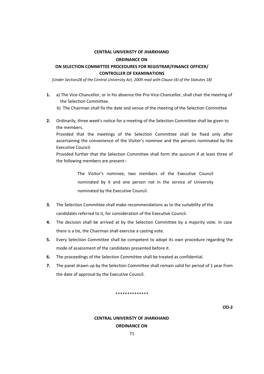## **CENTRAL UNIVERISTY OF JHARKHAND**

#### **ORDINANCE ON**

## **ON SELECTION COMMITTEE PROCEDURES FOR REGISTRAR/FINANCE OFFICER/ CONTROLLER OF EXAMINATIONS**

*[Under Section28 of the Central University Act, 2009 read with Clause (4) of the Statutes 18]*

- **1.** a) The Vice‐Chancellor, or in his absence the Pro‐Vice‐Chancellor, shall chair the meeting of the Selection Committee.
	- b) The Chairman shall fix the date and venue of the meeting of the Selection Committee
- **2.** Ordinarily, three week's notice for a meeting of the Selection Committee shall be given to the members.

Provided that the meetings of the Selection Committee shall be fixed only after ascertaining the convenience of the Visitor's nominee and the persons nominated by the Executive Council.

Provided further that the Selection Committee shall form the quorum if at least three of the following members are present:‐

> The Visitor's nominee, two members of the Executive Council nominated by it and one person not in the service of University nominated by the Executive Council.

- **3.** The Selection Committee shall make recommendations as to the suitability of the candidates referred to it, for consideration of the Executive Council.
- **4.** The decision shall be arrived at by the Selection Committee by a majority vote. In case there is a tie, the Chairman shall exercise a casting vote.
- **5.** Every Selection Committee shall be competent to adopt its own procedure regarding the mode of assessment of the candidates presented before it.
- **6.** The proceedings of the Selection Committee shall be treated as confidential.
- **7.** The panel drawn up by the Selection Committee shall remain valid for period of 1 year from the date of approval by the Executive Council.

#### \*\*\*\*\*\*\*\*\*\*\*\*\*\*

**OD‐2**

## **CENTRAL UNIVERISTY OF JHARKHAND ORDINANCE ON**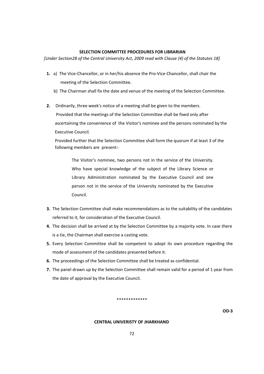### **SELECTION COMMITTEE PROCEDURES FOR LIBRARIAN**

*[Under Section28 of the Central University Act, 2009 read with Clause (4) of the Statutes 18]*

- 1. a) The Vice-Chancellor, or in her/his absence the Pro-Vice-Chancellor, shall chair the meeting of the Selection Committee.
	- b) The Chairman shall fix the date and venue of the meeting of the Selection Committee.
- **2.** Ordinarily, three week's notice of a meeting shall be given to the members. Provided that the meetings of the Selection Committee shall be fixed only after ascertaining the convenience of the Visitor's nominee and the persons nominated by the

Executive Council.

Provided further that the Selection Committee shall form the quorum if at least 3 of the following members are present:‐

The Visitor's nominee, two persons not in the service of the University. Who have special knowledge of the subject of the Library Science or Library Administration nominated by the Executive Council and one person not in the service of the University nominated by the Executive Council.

- **3.** The Selection Committee shall make recommendations as to the suitability of the candidates referred to it, for consideration of the Executive Council.
- **4.** The decision shall be arrived at by the Selection Committee by a majority vote. In case there is a tie, the Chairman shall exercise a casting vote.
- **5.** Every Selection Committee shall be competent to adopt its own procedure regarding the mode of assessment of the candidates presented before it.
- **6.** The proceedings of the Selection Committee shall be treated as confidential.
- **7.** The panel drawn up by the Selection Committee shall remain valid for a period of 1 year from the date of approval by the Executive Council.

#### \*\*\*\*\*\*\*\*\*\*\*\*\*

**OD‐3**

## **CENTRAL UNIVERISTY OF JHARKHAND**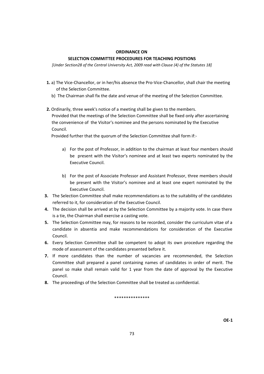#### **ORDINANCE ON**

## **SELECTION COMMITTEE PROCEDURES FOR TEACHING POSITIONS**

*[Under Section28 of the Central University Act, 2009 read with Clause (4) of the Statutes 18]*

- **1.** a) The Vice-Chancellor, or in her/his absence the Pro-Vice-Chancellor, shall chair the meeting of the Selection Committee.
	- b) The Chairman shall fix the date and venue of the meeting of the Selection Committee.
- **2.** Ordinarily, three week's notice of a meeting shall be given to the members. Provided that the meetings of the Selection Committee shall be fixed only after ascertaining the convenience of the Visitor's nominee and the persons nominated by the Executive Council.

Provided further that the quorum of the Selection Committee shall form if:‐

- a) For the post of Professor, in addition to the chairman at least four members should be present with the Visitor's nominee and at least two experts nominated by the Executive Council.
- b) For the post of Associate Professor and Assistant Professor, three members should be present with the Visitor's nominee and at least one expert nominated by the Executive Council.
- **3.** The Selection Committee shall make recommendations as to the suitability of the candidates referred to it, for consideration of the Executive Council.
- **4.** The decision shall be arrived at by the Selection Committee by a majority vote. In case there is a tie, the Chairman shall exercise a casting vote.
- **5.** The Selection Committee may, for reasons to be recorded, consider the curriculum vitae of a candidate in absentia and make recommendations for consideration of the Executive Council.
- **6.** Every Selection Committee shall be competent to adopt its own procedure regarding the mode of assessment of the candidates presented before it.
- **7.** If more candidates than the number of vacancies are recommended, the Selection Committee shall prepared a panel containing names of candidates in order of merit. The panel so make shall remain valid for 1 year from the date of approval by the Executive Council.
- **8.** The proceedings of the Selection Committee shall be treated as confidential.

\*\*\*\*\*\*\*\*\*\*\*\*\*\*\*